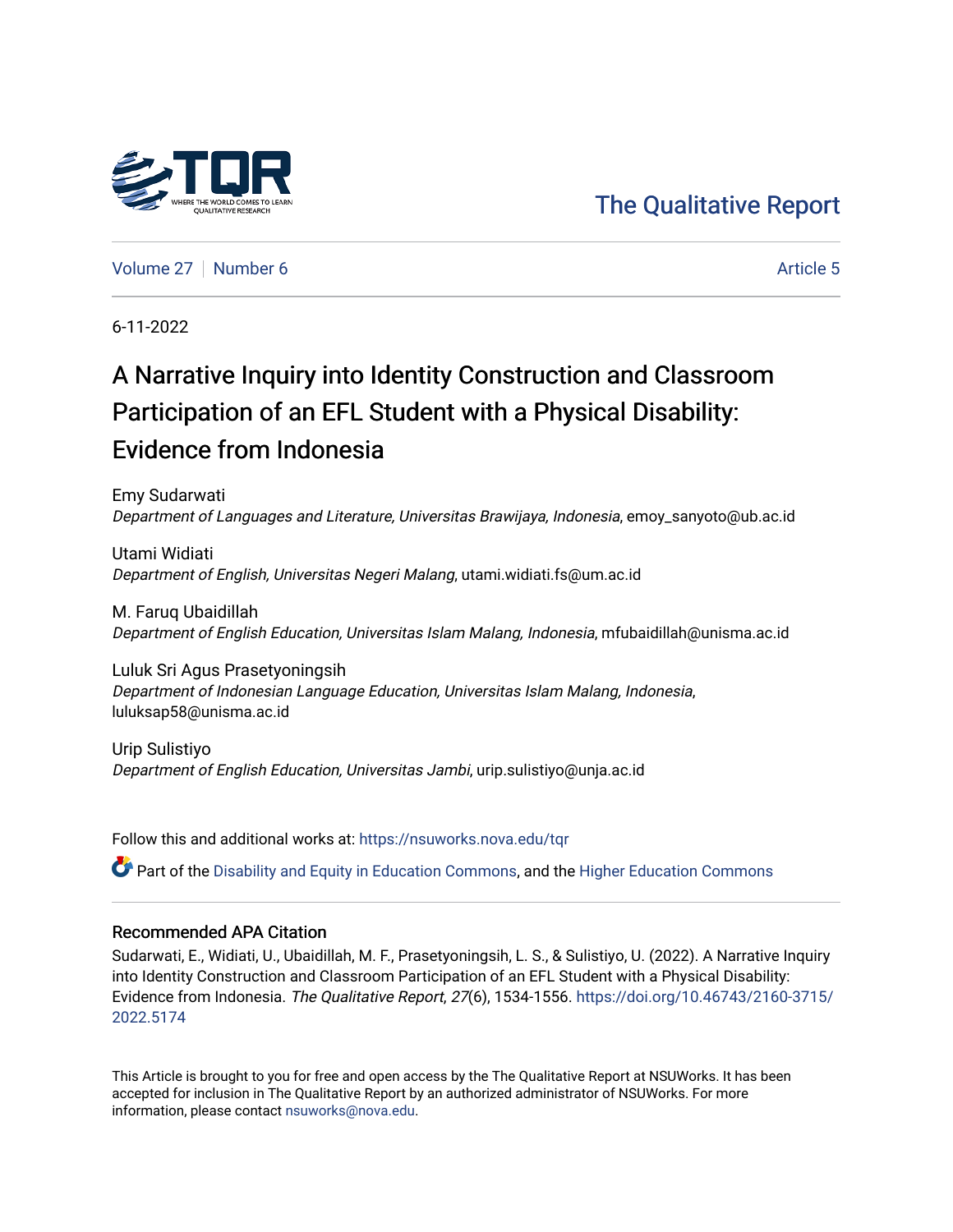# [The Qualitative Report](https://nsuworks.nova.edu/tqr)

[Volume 27](https://nsuworks.nova.edu/tqr/vol27) [Number 6](https://nsuworks.nova.edu/tqr/vol27/iss6) [Article 5](https://nsuworks.nova.edu/tqr/vol27/iss6/5) Article 5

6-11-2022

# A Narrative Inquiry into Identity Construction and Classroom Participation of an EFL Student with a Physical Disability: Evidence from Indonesia

Emy Sudarwati Department of Languages and Literature, Universitas Brawijaya, Indonesia, emoy\_sanyoto@ub.ac.id

Utami Widiati Department of English, Universitas Negeri Malang, utami.widiati.fs@um.ac.id

M. Faruq Ubaidillah Department of English Education, Universitas Islam Malang, Indonesia, mfubaidillah@unisma.ac.id

Luluk Sri Agus Prasetyoningsih Department of Indonesian Language Education, Universitas Islam Malang, Indonesia, luluksap58@unisma.ac.id

Urip Sulistiyo Department of English Education, Universitas Jambi, urip.sulistiyo@unja.ac.id

Follow this and additional works at: [https://nsuworks.nova.edu/tqr](https://nsuworks.nova.edu/tqr?utm_source=nsuworks.nova.edu%2Ftqr%2Fvol27%2Fiss6%2F5&utm_medium=PDF&utm_campaign=PDFCoverPages) 

Part of the [Disability and Equity in Education Commons](https://network.bepress.com/hgg/discipline/1040?utm_source=nsuworks.nova.edu%2Ftqr%2Fvol27%2Fiss6%2F5&utm_medium=PDF&utm_campaign=PDFCoverPages), and the [Higher Education Commons](https://network.bepress.com/hgg/discipline/1245?utm_source=nsuworks.nova.edu%2Ftqr%2Fvol27%2Fiss6%2F5&utm_medium=PDF&utm_campaign=PDFCoverPages)

#### Recommended APA Citation

Sudarwati, E., Widiati, U., Ubaidillah, M. F., Prasetyoningsih, L. S., & Sulistiyo, U. (2022). A Narrative Inquiry into Identity Construction and Classroom Participation of an EFL Student with a Physical Disability: Evidence from Indonesia. The Qualitative Report, 27(6), 1534-1556. [https://doi.org/10.46743/2160-3715/](https://doi.org/10.46743/2160-3715/2022.5174) [2022.5174](https://doi.org/10.46743/2160-3715/2022.5174) 

This Article is brought to you for free and open access by the The Qualitative Report at NSUWorks. It has been accepted for inclusion in The Qualitative Report by an authorized administrator of NSUWorks. For more information, please contact [nsuworks@nova.edu.](mailto:nsuworks@nova.edu)

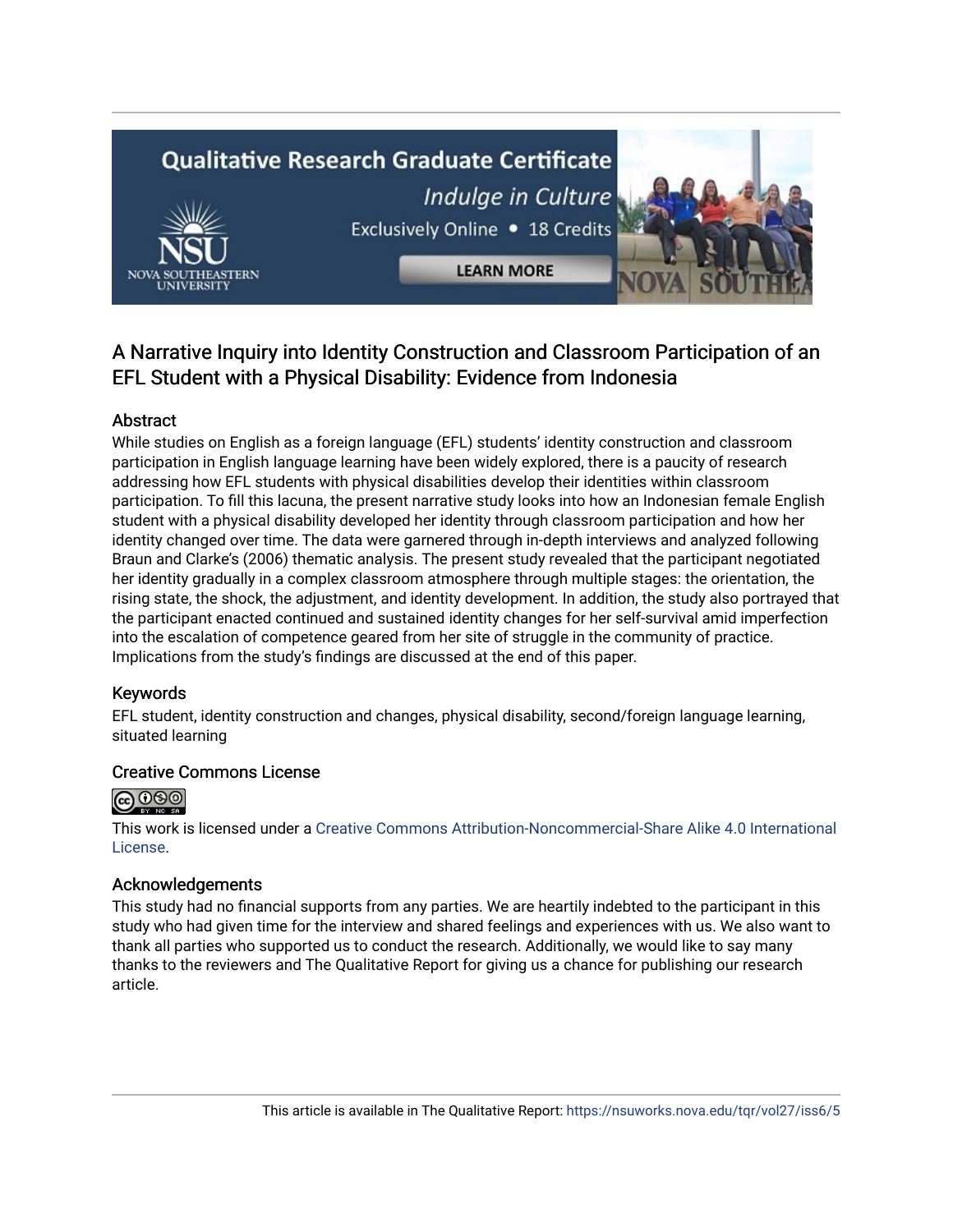# **Qualitative Research Graduate Certificate** Indulge in Culture Exclusively Online . 18 Credits

**LEARN MORE** 

### A Narrative Inquiry into Identity Construction and Classroom Participation of an EFL Student with a Physical Disability: Evidence from Indonesia

#### Abstract

While studies on English as a foreign language (EFL) students' identity construction and classroom participation in English language learning have been widely explored, there is a paucity of research addressing how EFL students with physical disabilities develop their identities within classroom participation. To fill this lacuna, the present narrative study looks into how an Indonesian female English student with a physical disability developed her identity through classroom participation and how her identity changed over time. The data were garnered through in-depth interviews and analyzed following Braun and Clarke's (2006) thematic analysis. The present study revealed that the participant negotiated her identity gradually in a complex classroom atmosphere through multiple stages: the orientation, the rising state, the shock, the adjustment, and identity development. In addition, the study also portrayed that the participant enacted continued and sustained identity changes for her self-survival amid imperfection into the escalation of competence geared from her site of struggle in the community of practice. Implications from the study's findings are discussed at the end of this paper.

#### Keywords

EFL student, identity construction and changes, physical disability, second/foreign language learning, situated learning

#### Creative Commons License



This work is licensed under a [Creative Commons Attribution-Noncommercial-Share Alike 4.0 International](https://creativecommons.org/licenses/by-nc-sa/4.0/)  [License](https://creativecommons.org/licenses/by-nc-sa/4.0/).

#### Acknowledgements

This study had no financial supports from any parties. We are heartily indebted to the participant in this study who had given time for the interview and shared feelings and experiences with us. We also want to thank all parties who supported us to conduct the research. Additionally, we would like to say many thanks to the reviewers and The Qualitative Report for giving us a chance for publishing our research article.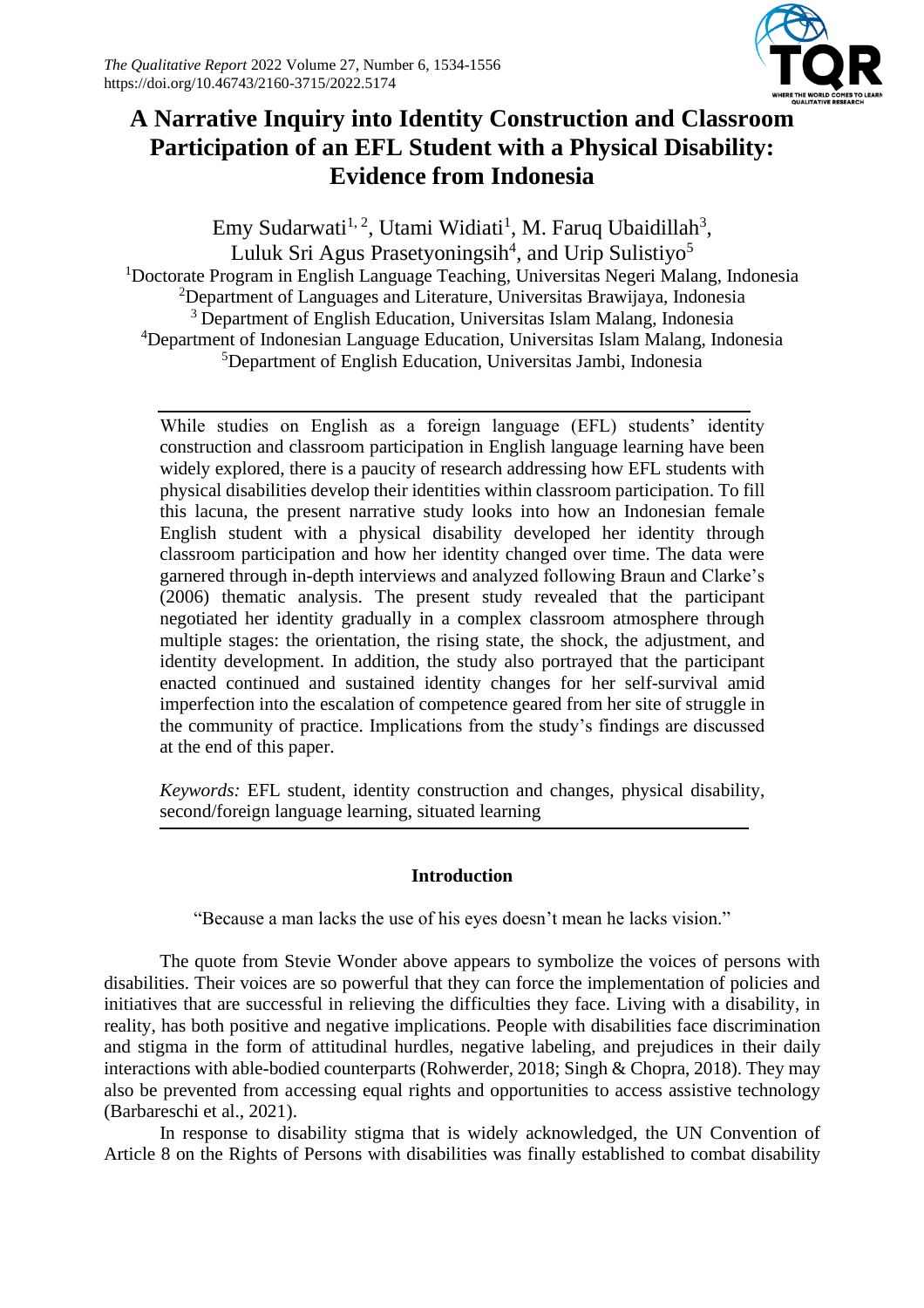

## **A Narrative Inquiry into Identity Construction and Classroom Participation of an EFL Student with a Physical Disability: Evidence from Indonesia**

Emy Sudarwati<sup>1, 2</sup>, Utami Widiati<sup>1</sup>, M. Faruq Ubaidillah<sup>3</sup>, Luluk Sri Agus Prasetyoningsih<sup>4</sup>, and Urip Sulistiyo<sup>5</sup> <sup>1</sup>Doctorate Program in English Language Teaching, Universitas Negeri Malang, Indonesia <sup>2</sup>Department of Languages and Literature, Universitas Brawijaya, Indonesia <sup>3</sup> Department of English Education, Universitas Islam Malang, Indonesia <sup>4</sup>Department of Indonesian Language Education, Universitas Islam Malang, Indonesia <sup>5</sup>Department of English Education, Universitas Jambi, Indonesia

While studies on English as a foreign language (EFL) students' identity construction and classroom participation in English language learning have been widely explored, there is a paucity of research addressing how EFL students with physical disabilities develop their identities within classroom participation. To fill this lacuna, the present narrative study looks into how an Indonesian female English student with a physical disability developed her identity through classroom participation and how her identity changed over time. The data were garnered through in-depth interviews and analyzed following Braun and Clarke's (2006) thematic analysis. The present study revealed that the participant negotiated her identity gradually in a complex classroom atmosphere through multiple stages: the orientation, the rising state, the shock, the adjustment, and identity development. In addition, the study also portrayed that the participant enacted continued and sustained identity changes for her self-survival amid imperfection into the escalation of competence geared from her site of struggle in the community of practice. Implications from the study's findings are discussed at the end of this paper.

*Keywords:* EFL student, identity construction and changes, physical disability, second/foreign language learning, situated learning

#### **Introduction**

"Because a man lacks the use of his eyes doesn't mean he lacks vision."

The quote from Stevie Wonder above appears to symbolize the voices of persons with disabilities. Their voices are so powerful that they can force the implementation of policies and initiatives that are successful in relieving the difficulties they face. Living with a disability, in reality, has both positive and negative implications. People with disabilities face discrimination and stigma in the form of attitudinal hurdles, negative labeling, and prejudices in their daily interactions with able-bodied counterparts (Rohwerder, 2018; Singh & Chopra, 2018). They may also be prevented from accessing equal rights and opportunities to access assistive technology (Barbareschi et al., 2021).

In response to disability stigma that is widely acknowledged, the UN Convention of Article 8 on the Rights of Persons with disabilities was finally established to combat disability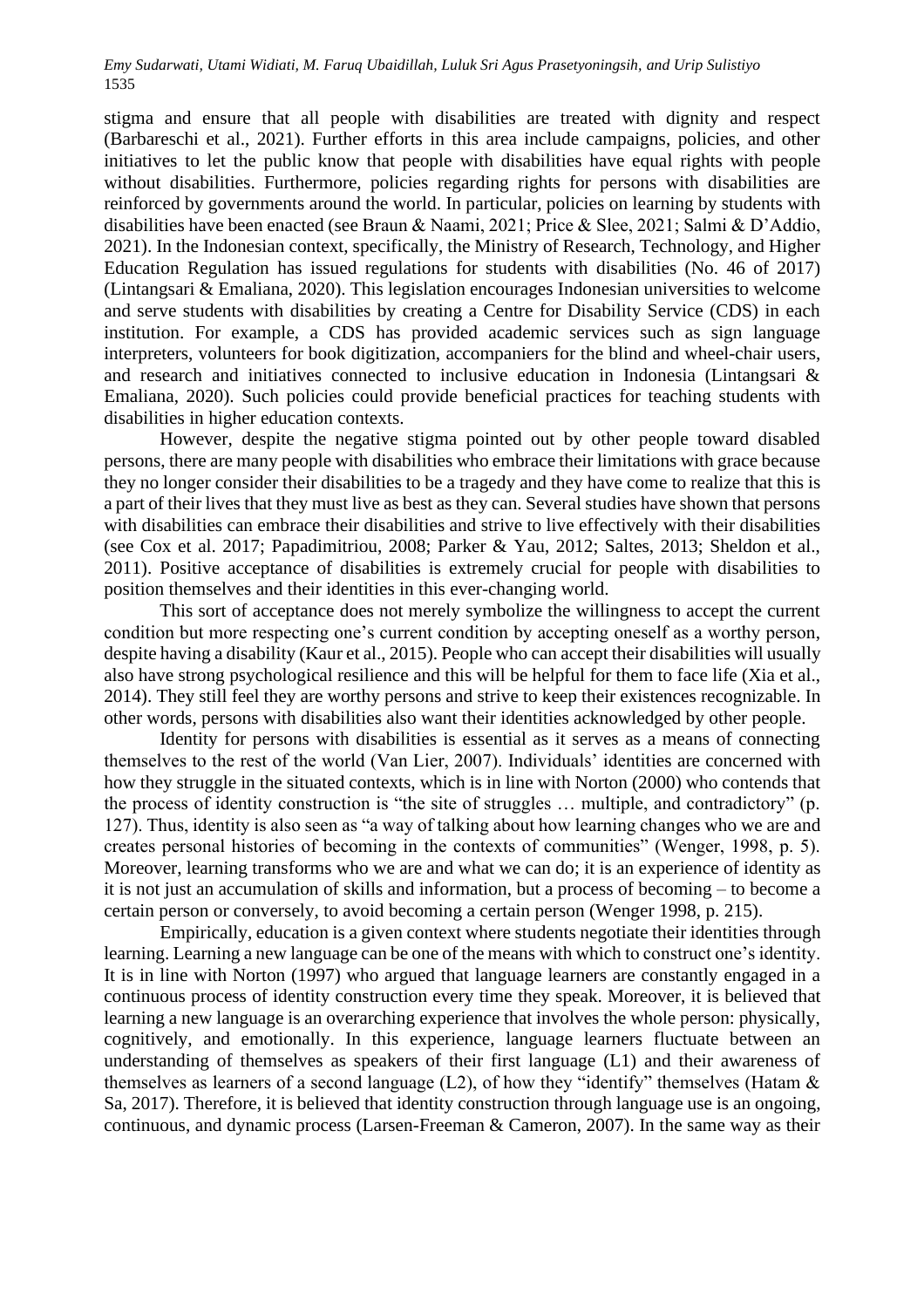stigma and ensure that all people with disabilities are treated with dignity and respect (Barbareschi et al., 2021). Further efforts in this area include campaigns, policies, and other initiatives to let the public know that people with disabilities have equal rights with people without disabilities. Furthermore, policies regarding rights for persons with disabilities are reinforced by governments around the world. In particular, policies on learning by students with disabilities have been enacted (see Braun & Naami, 2021; Price & Slee, 2021; Salmi & D'Addio, 2021). In the Indonesian context, specifically, the Ministry of Research, Technology, and Higher Education Regulation has issued regulations for students with disabilities (No. 46 of 2017) (Lintangsari & Emaliana, 2020). This legislation encourages Indonesian universities to welcome and serve students with disabilities by creating a Centre for Disability Service (CDS) in each institution. For example, a CDS has provided academic services such as sign language interpreters, volunteers for book digitization, accompaniers for the blind and wheel-chair users, and research and initiatives connected to inclusive education in Indonesia (Lintangsari & Emaliana, 2020). Such policies could provide beneficial practices for teaching students with disabilities in higher education contexts.

However, despite the negative stigma pointed out by other people toward disabled persons, there are many people with disabilities who embrace their limitations with grace because they no longer consider their disabilities to be a tragedy and they have come to realize that this is a part of their lives that they must live as best as they can. Several studies have shown that persons with disabilities can embrace their disabilities and strive to live effectively with their disabilities (see Cox et al. 2017; Papadimitriou, 2008; Parker & Yau, 2012; Saltes, 2013; Sheldon et al., 2011). Positive acceptance of disabilities is extremely crucial for people with disabilities to position themselves and their identities in this ever-changing world.

This sort of acceptance does not merely symbolize the willingness to accept the current condition but more respecting one's current condition by accepting oneself as a worthy person, despite having a disability (Kaur et al., 2015). People who can accept their disabilities will usually also have strong psychological resilience and this will be helpful for them to face life (Xia et al., 2014). They still feel they are worthy persons and strive to keep their existences recognizable. In other words, persons with disabilities also want their identities acknowledged by other people.

Identity for persons with disabilities is essential as it serves as a means of connecting themselves to the rest of the world (Van Lier, 2007). Individuals' identities are concerned with how they struggle in the situated contexts, which is in line with Norton (2000) who contends that the process of identity construction is "the site of struggles … multiple, and contradictory" (p. 127). Thus, identity is also seen as "a way of talking about how learning changes who we are and creates personal histories of becoming in the contexts of communities" (Wenger, 1998, p. 5). Moreover, learning transforms who we are and what we can do; it is an experience of identity as it is not just an accumulation of skills and information, but a process of becoming – to become a certain person or conversely, to avoid becoming a certain person (Wenger 1998, p. 215).

Empirically, education is a given context where students negotiate their identities through learning. Learning a new language can be one of the means with which to construct one's identity. It is in line with Norton (1997) who argued that language learners are constantly engaged in a continuous process of identity construction every time they speak. Moreover, it is believed that learning a new language is an overarching experience that involves the whole person: physically, cognitively, and emotionally. In this experience, language learners fluctuate between an understanding of themselves as speakers of their first language (L1) and their awareness of themselves as learners of a second language (L2), of how they "identify" themselves (Hatam & Sa, 2017). Therefore, it is believed that identity construction through language use is an ongoing, continuous, and dynamic process (Larsen-Freeman & Cameron, 2007). In the same way as their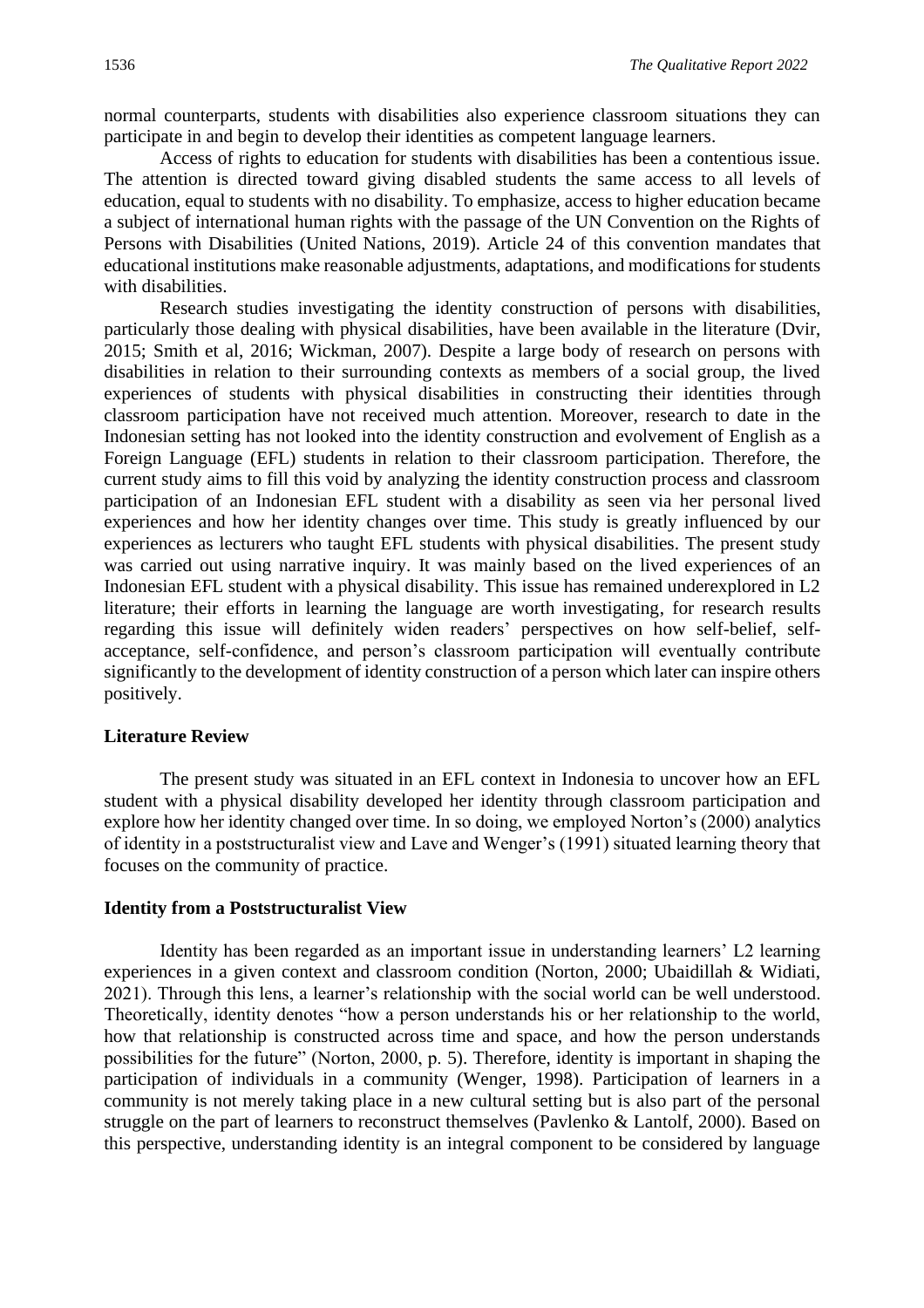normal counterparts, students with disabilities also experience classroom situations they can participate in and begin to develop their identities as competent language learners.

Access of rights to education for students with disabilities has been a contentious issue. The attention is directed toward giving disabled students the same access to all levels of education, equal to students with no disability. To emphasize, access to higher education became a subject of international human rights with the passage of the UN Convention on the Rights of Persons with Disabilities (United Nations, 2019). Article 24 of this convention mandates that educational institutions make reasonable adjustments, adaptations, and modifications for students with disabilities.

Research studies investigating the identity construction of persons with disabilities, particularly those dealing with physical disabilities, have been available in the literature (Dvir, 2015; Smith et al, 2016; Wickman, 2007). Despite a large body of research on persons with disabilities in relation to their surrounding contexts as members of a social group, the lived experiences of students with physical disabilities in constructing their identities through classroom participation have not received much attention. Moreover, research to date in the Indonesian setting has not looked into the identity construction and evolvement of English as a Foreign Language (EFL) students in relation to their classroom participation. Therefore, the current study aims to fill this void by analyzing the identity construction process and classroom participation of an Indonesian EFL student with a disability as seen via her personal lived experiences and how her identity changes over time. This study is greatly influenced by our experiences as lecturers who taught EFL students with physical disabilities. The present study was carried out using narrative inquiry. It was mainly based on the lived experiences of an Indonesian EFL student with a physical disability. This issue has remained underexplored in L2 literature; their efforts in learning the language are worth investigating, for research results regarding this issue will definitely widen readers' perspectives on how self-belief, selfacceptance, self-confidence, and person's classroom participation will eventually contribute significantly to the development of identity construction of a person which later can inspire others positively.

#### **Literature Review**

The present study was situated in an EFL context in Indonesia to uncover how an EFL student with a physical disability developed her identity through classroom participation and explore how her identity changed over time. In so doing, we employed Norton's (2000) analytics of identity in a poststructuralist view and Lave and Wenger's (1991) situated learning theory that focuses on the community of practice.

#### **Identity from a Poststructuralist View**

Identity has been regarded as an important issue in understanding learners' L2 learning experiences in a given context and classroom condition (Norton, 2000; Ubaidillah & Widiati, 2021). Through this lens, a learner's relationship with the social world can be well understood. Theoretically, identity denotes "how a person understands his or her relationship to the world, how that relationship is constructed across time and space, and how the person understands possibilities for the future" (Norton, 2000, p. 5). Therefore, identity is important in shaping the participation of individuals in a community (Wenger, 1998). Participation of learners in a community is not merely taking place in a new cultural setting but is also part of the personal struggle on the part of learners to reconstruct themselves (Pavlenko & Lantolf, 2000). Based on this perspective, understanding identity is an integral component to be considered by language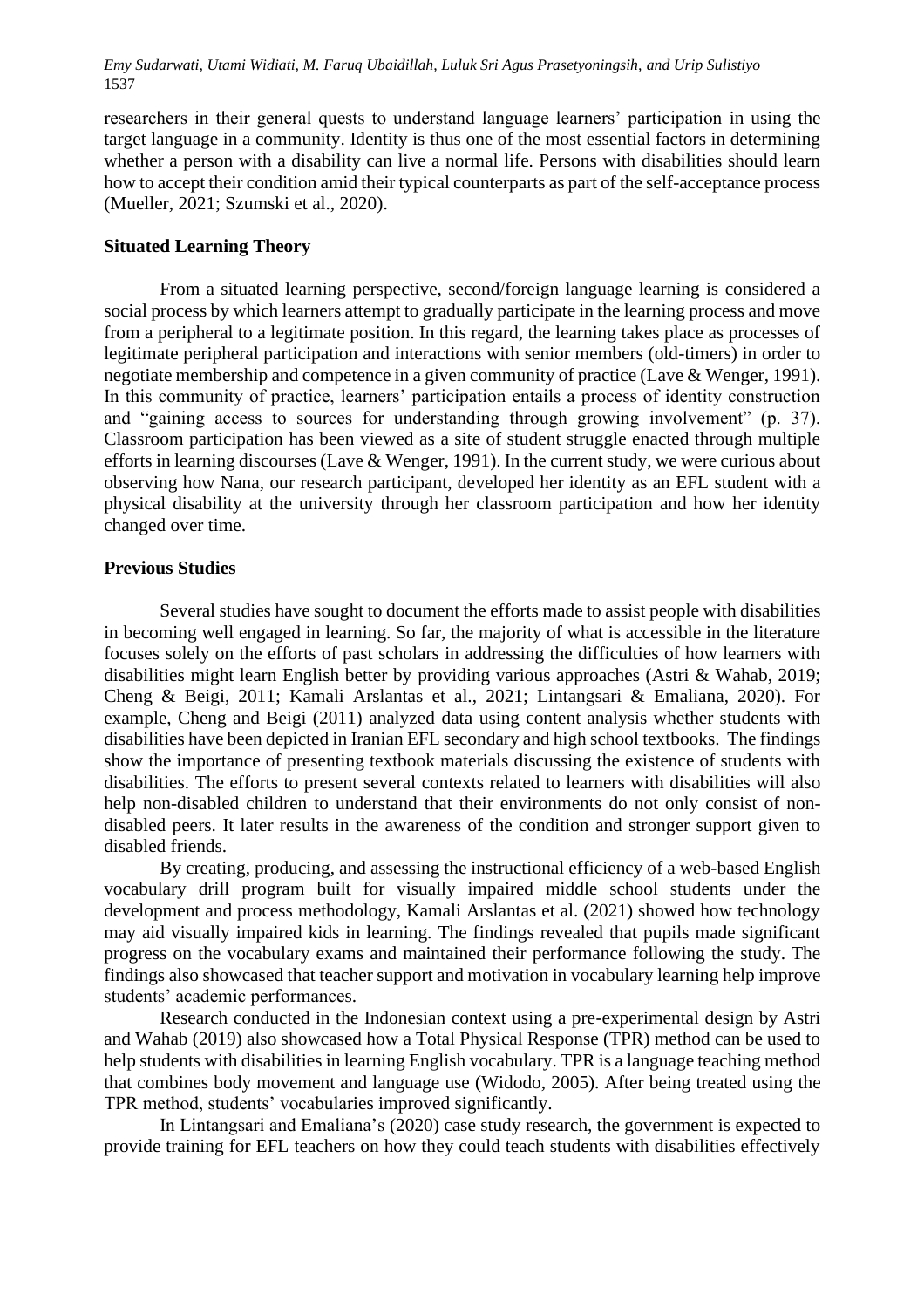researchers in their general quests to understand language learners' participation in using the target language in a community. Identity is thus one of the most essential factors in determining whether a person with a disability can live a normal life. Persons with disabilities should learn how to accept their condition amid their typical counterparts as part of the self-acceptance process (Mueller, 2021; Szumski et al., 2020).

#### **Situated Learning Theory**

From a situated learning perspective, second/foreign language learning is considered a social process by which learners attempt to gradually participate in the learning process and move from a peripheral to a legitimate position. In this regard, the learning takes place as processes of legitimate peripheral participation and interactions with senior members (old-timers) in order to negotiate membership and competence in a given community of practice (Lave & Wenger, 1991). In this community of practice, learners' participation entails a process of identity construction and "gaining access to sources for understanding through growing involvement" (p. 37). Classroom participation has been viewed as a site of student struggle enacted through multiple efforts in learning discourses (Lave & Wenger, 1991). In the current study, we were curious about observing how Nana, our research participant, developed her identity as an EFL student with a physical disability at the university through her classroom participation and how her identity changed over time.

#### **Previous Studies**

Several studies have sought to document the efforts made to assist people with disabilities in becoming well engaged in learning. So far, the majority of what is accessible in the literature focuses solely on the efforts of past scholars in addressing the difficulties of how learners with disabilities might learn English better by providing various approaches (Astri & Wahab, 2019; Cheng & Beigi, 2011; Kamali Arslantas et al., 2021; Lintangsari & Emaliana, 2020). For example, Cheng and Beigi (2011) analyzed data using content analysis whether students with disabilities have been depicted in Iranian EFL secondary and high school textbooks. The findings show the importance of presenting textbook materials discussing the existence of students with disabilities. The efforts to present several contexts related to learners with disabilities will also help non-disabled children to understand that their environments do not only consist of nondisabled peers. It later results in the awareness of the condition and stronger support given to disabled friends.

By creating, producing, and assessing the instructional efficiency of a web-based English vocabulary drill program built for visually impaired middle school students under the development and process methodology, Kamali Arslantas et al. (2021) showed how technology may aid visually impaired kids in learning. The findings revealed that pupils made significant progress on the vocabulary exams and maintained their performance following the study. The findings also showcased that teacher support and motivation in vocabulary learning help improve students' academic performances.

Research conducted in the Indonesian context using a pre-experimental design by Astri and Wahab (2019) also showcased how a Total Physical Response (TPR) method can be used to help students with disabilities in learning English vocabulary. TPR is a language teaching method that combines body movement and language use (Widodo, 2005). After being treated using the TPR method, students' vocabularies improved significantly.

In Lintangsari and Emaliana's (2020) case study research, the government is expected to provide training for EFL teachers on how they could teach students with disabilities effectively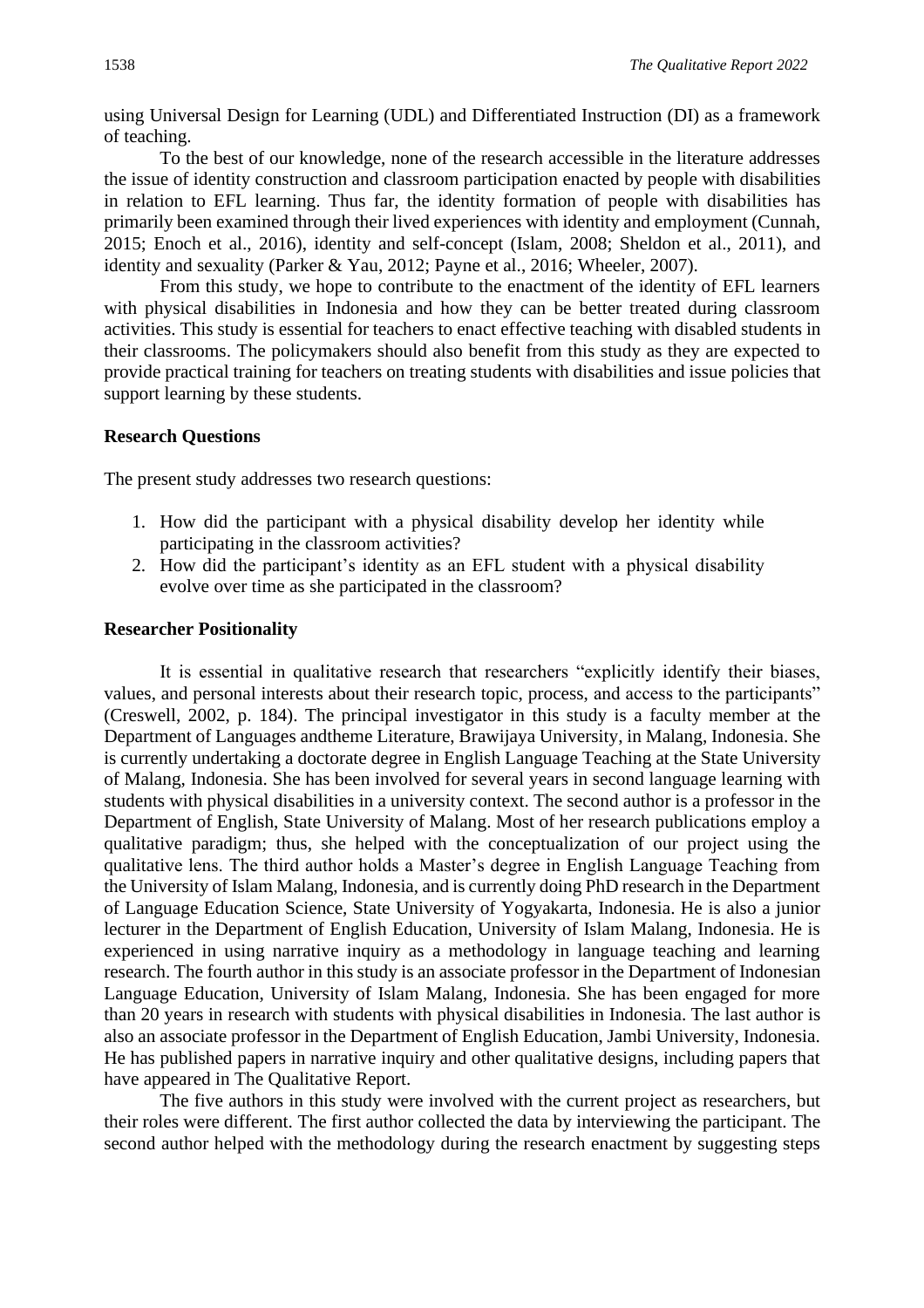using Universal Design for Learning (UDL) and Differentiated Instruction (DI) as a framework of teaching.

To the best of our knowledge, none of the research accessible in the literature addresses the issue of identity construction and classroom participation enacted by people with disabilities in relation to EFL learning. Thus far, the identity formation of people with disabilities has primarily been examined through their lived experiences with identity and employment (Cunnah, 2015; Enoch et al., 2016), identity and self-concept (Islam, 2008; Sheldon et al., 2011), and identity and sexuality (Parker & Yau, 2012; Payne et al., 2016; Wheeler, 2007).

From this study, we hope to contribute to the enactment of the identity of EFL learners with physical disabilities in Indonesia and how they can be better treated during classroom activities. This study is essential for teachers to enact effective teaching with disabled students in their classrooms. The policymakers should also benefit from this study as they are expected to provide practical training for teachers on treating students with disabilities and issue policies that support learning by these students.

#### **Research Questions**

The present study addresses two research questions:

- 1. How did the participant with a physical disability develop her identity while participating in the classroom activities?
- 2. How did the participant's identity as an EFL student with a physical disability evolve over time as she participated in the classroom?

#### **Researcher Positionality**

It is essential in qualitative research that researchers "explicitly identify their biases, values, and personal interests about their research topic, process, and access to the participants" (Creswell, 2002, p. 184). The principal investigator in this study is a faculty member at the Department of Languages andtheme Literature, Brawijaya University, in Malang, Indonesia. She is currently undertaking a doctorate degree in English Language Teaching at the State University of Malang, Indonesia. She has been involved for several years in second language learning with students with physical disabilities in a university context. The second author is a professor in the Department of English, State University of Malang. Most of her research publications employ a qualitative paradigm; thus, she helped with the conceptualization of our project using the qualitative lens. The third author holds a Master's degree in English Language Teaching from the University of Islam Malang, Indonesia, and is currently doing PhD research in the Department of Language Education Science, State University of Yogyakarta, Indonesia. He is also a junior lecturer in the Department of English Education, University of Islam Malang, Indonesia. He is experienced in using narrative inquiry as a methodology in language teaching and learning research. The fourth author in this study is an associate professor in the Department of Indonesian Language Education, University of Islam Malang, Indonesia. She has been engaged for more than 20 years in research with students with physical disabilities in Indonesia. The last author is also an associate professor in the Department of English Education, Jambi University, Indonesia. He has published papers in narrative inquiry and other qualitative designs, including papers that have appeared in The Qualitative Report.

The five authors in this study were involved with the current project as researchers, but their roles were different. The first author collected the data by interviewing the participant. The second author helped with the methodology during the research enactment by suggesting steps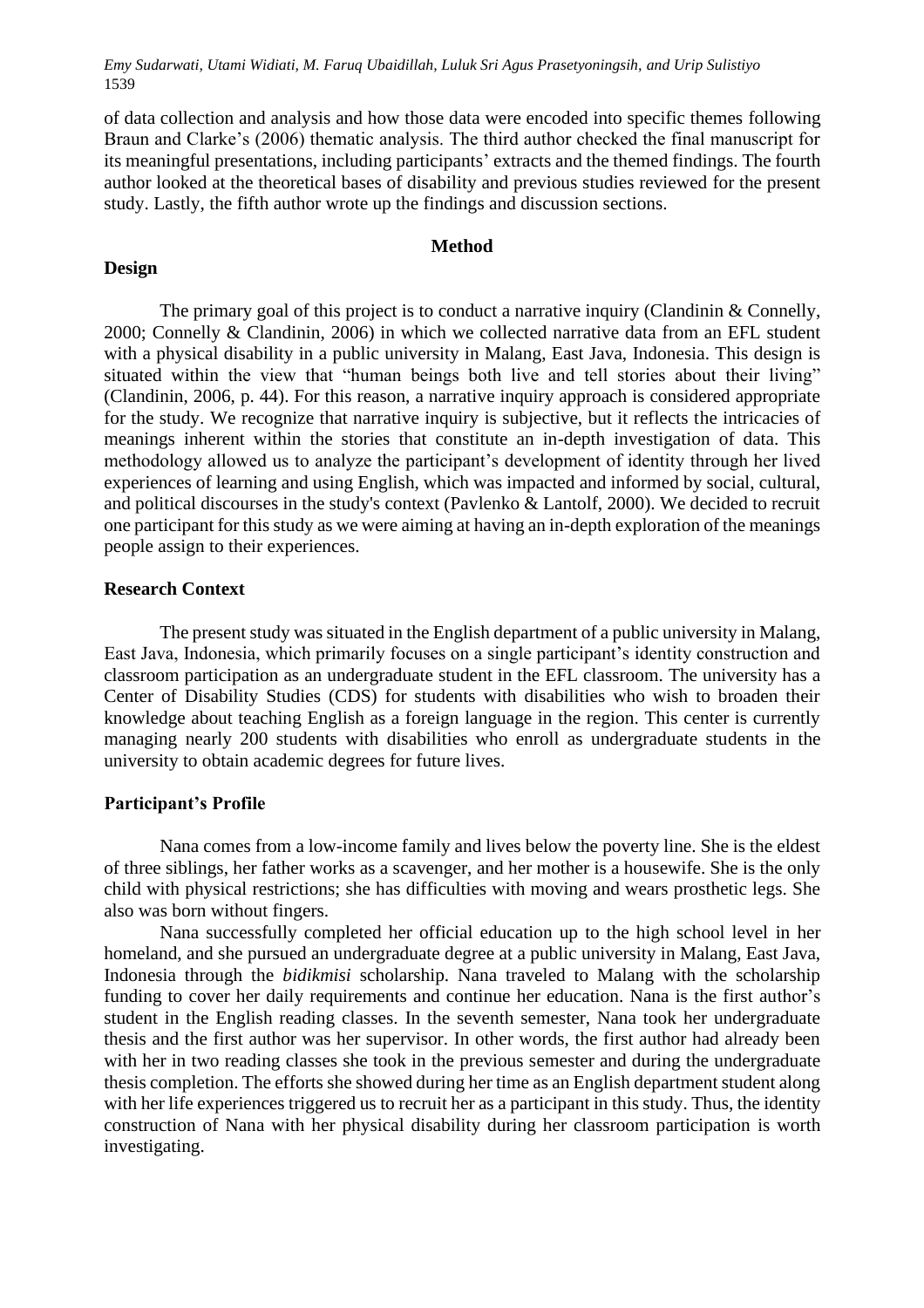of data collection and analysis and how those data were encoded into specific themes following Braun and Clarke's (2006) thematic analysis. The third author checked the final manuscript for its meaningful presentations, including participants' extracts and the themed findings. The fourth author looked at the theoretical bases of disability and previous studies reviewed for the present study. Lastly, the fifth author wrote up the findings and discussion sections.

#### **Method**

#### **Design**

The primary goal of this project is to conduct a narrative inquiry (Clandinin & Connelly, 2000; Connelly & Clandinin, 2006) in which we collected narrative data from an EFL student with a physical disability in a public university in Malang, East Java, Indonesia. This design is situated within the view that "human beings both live and tell stories about their living" (Clandinin, 2006, p. 44). For this reason, a narrative inquiry approach is considered appropriate for the study. We recognize that narrative inquiry is subjective, but it reflects the intricacies of meanings inherent within the stories that constitute an in-depth investigation of data. This methodology allowed us to analyze the participant's development of identity through her lived experiences of learning and using English, which was impacted and informed by social, cultural, and political discourses in the study's context (Pavlenko & Lantolf, 2000). We decided to recruit one participant for this study as we were aiming at having an in-depth exploration of the meanings people assign to their experiences.

#### **Research Context**

The present study was situated in the English department of a public university in Malang, East Java, Indonesia, which primarily focuses on a single participant's identity construction and classroom participation as an undergraduate student in the EFL classroom. The university has a Center of Disability Studies (CDS) for students with disabilities who wish to broaden their knowledge about teaching English as a foreign language in the region. This center is currently managing nearly 200 students with disabilities who enroll as undergraduate students in the university to obtain academic degrees for future lives.

#### **Participant's Profile**

Nana comes from a low-income family and lives below the poverty line. She is the eldest of three siblings, her father works as a scavenger, and her mother is a housewife. She is the only child with physical restrictions; she has difficulties with moving and wears prosthetic legs. She also was born without fingers.

Nana successfully completed her official education up to the high school level in her homeland, and she pursued an undergraduate degree at a public university in Malang, East Java, Indonesia through the *bidikmisi* scholarship. Nana traveled to Malang with the scholarship funding to cover her daily requirements and continue her education. Nana is the first author's student in the English reading classes. In the seventh semester, Nana took her undergraduate thesis and the first author was her supervisor. In other words, the first author had already been with her in two reading classes she took in the previous semester and during the undergraduate thesis completion. The efforts she showed during her time as an English department student along with her life experiences triggered us to recruit her as a participant in this study. Thus, the identity construction of Nana with her physical disability during her classroom participation is worth investigating.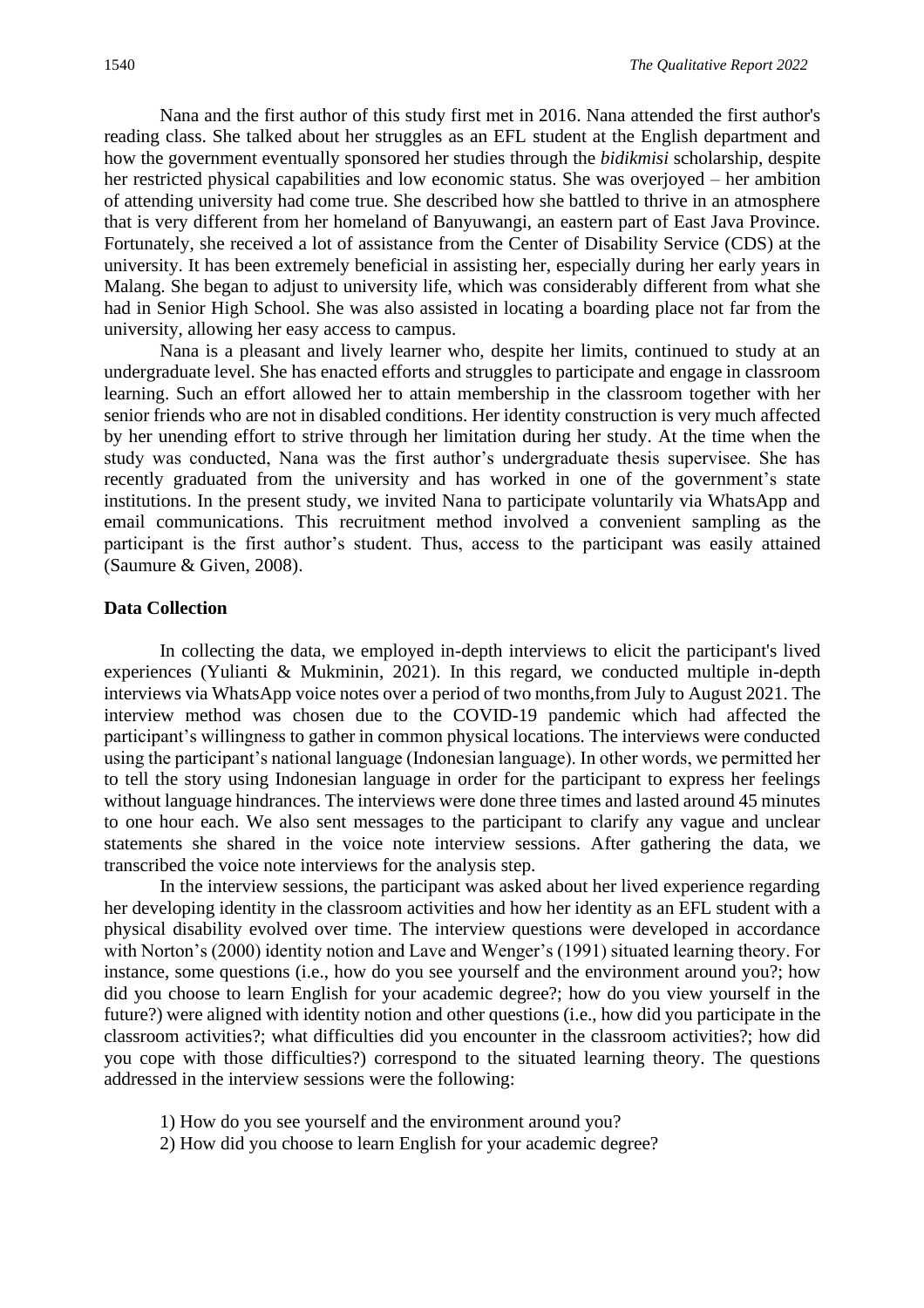Nana and the first author of this study first met in 2016. Nana attended the first author's reading class. She talked about her struggles as an EFL student at the English department and how the government eventually sponsored her studies through the *bidikmisi* scholarship, despite her restricted physical capabilities and low economic status. She was overjoyed – her ambition of attending university had come true. She described how she battled to thrive in an atmosphere that is very different from her homeland of Banyuwangi, an eastern part of East Java Province. Fortunately, she received a lot of assistance from the Center of Disability Service (CDS) at the university. It has been extremely beneficial in assisting her, especially during her early years in Malang. She began to adjust to university life, which was considerably different from what she had in Senior High School. She was also assisted in locating a boarding place not far from the university, allowing her easy access to campus.

Nana is a pleasant and lively learner who, despite her limits, continued to study at an undergraduate level. She has enacted efforts and struggles to participate and engage in classroom learning. Such an effort allowed her to attain membership in the classroom together with her senior friends who are not in disabled conditions. Her identity construction is very much affected by her unending effort to strive through her limitation during her study. At the time when the study was conducted, Nana was the first author's undergraduate thesis supervisee. She has recently graduated from the university and has worked in one of the government's state institutions. In the present study, we invited Nana to participate voluntarily via WhatsApp and email communications. This recruitment method involved a convenient sampling as the participant is the first author's student. Thus, access to the participant was easily attained (Saumure & Given, 2008).

#### **Data Collection**

In collecting the data, we employed in-depth interviews to elicit the participant's lived experiences (Yulianti & Mukminin, 2021). In this regard, we conducted multiple in-depth interviews via WhatsApp voice notes over a period of two months,from July to August 2021. The interview method was chosen due to the COVID-19 pandemic which had affected the participant's willingness to gather in common physical locations. The interviews were conducted using the participant's national language (Indonesian language). In other words, we permitted her to tell the story using Indonesian language in order for the participant to express her feelings without language hindrances. The interviews were done three times and lasted around 45 minutes to one hour each. We also sent messages to the participant to clarify any vague and unclear statements she shared in the voice note interview sessions. After gathering the data, we transcribed the voice note interviews for the analysis step.

In the interview sessions, the participant was asked about her lived experience regarding her developing identity in the classroom activities and how her identity as an EFL student with a physical disability evolved over time. The interview questions were developed in accordance with Norton's (2000) identity notion and Lave and Wenger's (1991) situated learning theory. For instance, some questions (i.e., how do you see yourself and the environment around you?; how did you choose to learn English for your academic degree?; how do you view yourself in the future?) were aligned with identity notion and other questions (i.e., how did you participate in the classroom activities?; what difficulties did you encounter in the classroom activities?; how did you cope with those difficulties?) correspond to the situated learning theory. The questions addressed in the interview sessions were the following:

- 1) How do you see yourself and the environment around you?
- 2) How did you choose to learn English for your academic degree?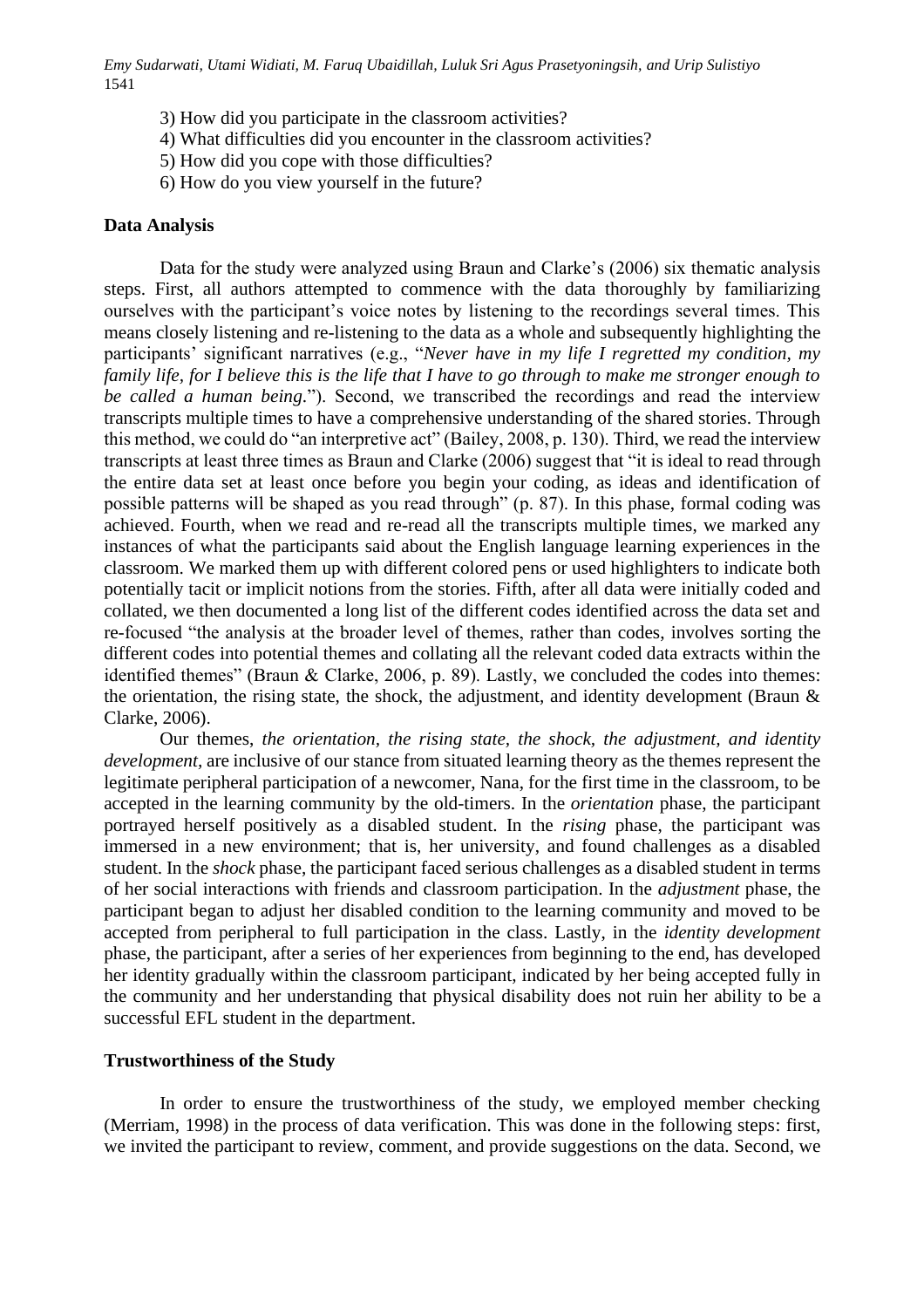- 3) How did you participate in the classroom activities?
- 4) What difficulties did you encounter in the classroom activities?
- 5) How did you cope with those difficulties?
- 6) How do you view yourself in the future?

#### **Data Analysis**

Data for the study were analyzed using Braun and Clarke's (2006) six thematic analysis steps. First, all authors attempted to commence with the data thoroughly by familiarizing ourselves with the participant's voice notes by listening to the recordings several times. This means closely listening and re-listening to the data as a whole and subsequently highlighting the participants' significant narratives (e.g., "*Never have in my life I regretted my condition, my family life, for I believe this is the life that I have to go through to make me stronger enough to be called a human being.*"). Second, we transcribed the recordings and read the interview transcripts multiple times to have a comprehensive understanding of the shared stories. Through this method, we could do "an interpretive act" (Bailey, 2008, p. 130). Third, we read the interview transcripts at least three times as Braun and Clarke (2006) suggest that "it is ideal to read through the entire data set at least once before you begin your coding, as ideas and identification of possible patterns will be shaped as you read through" (p. 87). In this phase, formal coding was achieved. Fourth, when we read and re-read all the transcripts multiple times, we marked any instances of what the participants said about the English language learning experiences in the classroom. We marked them up with different colored pens or used highlighters to indicate both potentially tacit or implicit notions from the stories. Fifth, after all data were initially coded and collated, we then documented a long list of the different codes identified across the data set and re-focused "the analysis at the broader level of themes, rather than codes, involves sorting the different codes into potential themes and collating all the relevant coded data extracts within the identified themes" (Braun & Clarke, 2006, p. 89). Lastly, we concluded the codes into themes: the orientation, the rising state, the shock, the adjustment, and identity development (Braun & Clarke, 2006).

Our themes, *the orientation, the rising state, the shock, the adjustment, and identity development,* are inclusive of our stance from situated learning theory as the themes represent the legitimate peripheral participation of a newcomer, Nana, for the first time in the classroom, to be accepted in the learning community by the old-timers. In the *orientation* phase, the participant portrayed herself positively as a disabled student. In the *rising* phase, the participant was immersed in a new environment; that is, her university, and found challenges as a disabled student. In the *shock* phase, the participant faced serious challenges as a disabled student in terms of her social interactions with friends and classroom participation. In the *adjustment* phase, the participant began to adjust her disabled condition to the learning community and moved to be accepted from peripheral to full participation in the class. Lastly, in the *identity development* phase, the participant, after a series of her experiences from beginning to the end, has developed her identity gradually within the classroom participant, indicated by her being accepted fully in the community and her understanding that physical disability does not ruin her ability to be a successful EFL student in the department.

#### **Trustworthiness of the Study**

In order to ensure the trustworthiness of the study, we employed member checking (Merriam, 1998) in the process of data verification. This was done in the following steps: first, we invited the participant to review, comment, and provide suggestions on the data. Second, we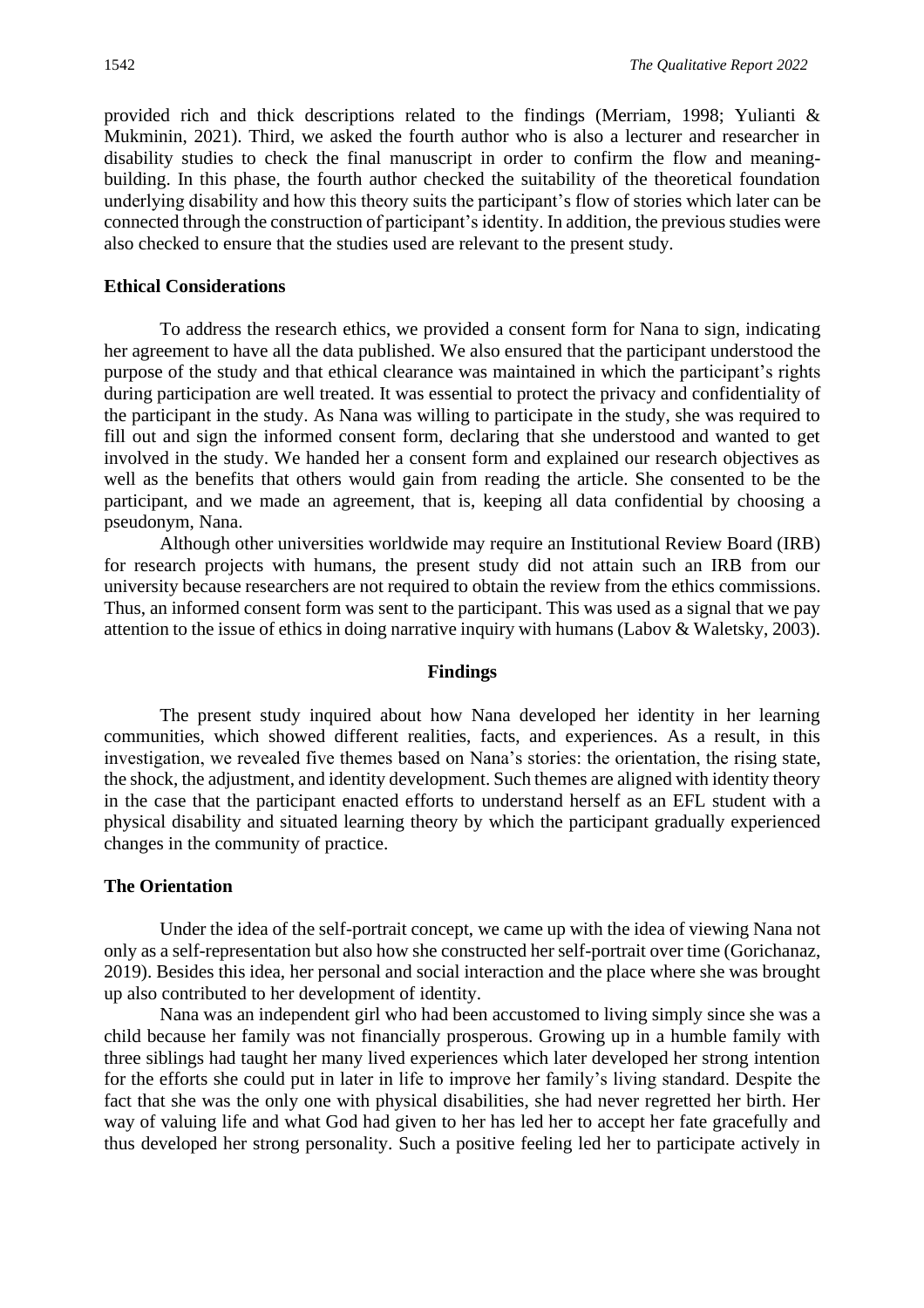provided rich and thick descriptions related to the findings (Merriam, 1998; Yulianti & Mukminin, 2021). Third, we asked the fourth author who is also a lecturer and researcher in disability studies to check the final manuscript in order to confirm the flow and meaningbuilding. In this phase, the fourth author checked the suitability of the theoretical foundation underlying disability and how this theory suits the participant's flow of stories which later can be connected through the construction of participant's identity. In addition, the previous studies were also checked to ensure that the studies used are relevant to the present study.

#### **Ethical Considerations**

To address the research ethics, we provided a consent form for Nana to sign, indicating her agreement to have all the data published. We also ensured that the participant understood the purpose of the study and that ethical clearance was maintained in which the participant's rights during participation are well treated. It was essential to protect the privacy and confidentiality of the participant in the study. As Nana was willing to participate in the study, she was required to fill out and sign the informed consent form, declaring that she understood and wanted to get involved in the study. We handed her a consent form and explained our research objectives as well as the benefits that others would gain from reading the article. She consented to be the participant, and we made an agreement, that is, keeping all data confidential by choosing a pseudonym, Nana.

Although other universities worldwide may require an Institutional Review Board (IRB) for research projects with humans, the present study did not attain such an IRB from our university because researchers are not required to obtain the review from the ethics commissions. Thus, an informed consent form was sent to the participant. This was used as a signal that we pay attention to the issue of ethics in doing narrative inquiry with humans (Labov & Waletsky, 2003).

#### **Findings**

The present study inquired about how Nana developed her identity in her learning communities, which showed different realities, facts, and experiences. As a result, in this investigation, we revealed five themes based on Nana's stories: the orientation, the rising state, the shock, the adjustment, and identity development. Such themes are aligned with identity theory in the case that the participant enacted efforts to understand herself as an EFL student with a physical disability and situated learning theory by which the participant gradually experienced changes in the community of practice.

#### **The Orientation**

Under the idea of the self-portrait concept, we came up with the idea of viewing Nana not only as a self-representation but also how she constructed her self-portrait over time (Gorichanaz, 2019). Besides this idea, her personal and social interaction and the place where she was brought up also contributed to her development of identity.

Nana was an independent girl who had been accustomed to living simply since she was a child because her family was not financially prosperous. Growing up in a humble family with three siblings had taught her many lived experiences which later developed her strong intention for the efforts she could put in later in life to improve her family's living standard. Despite the fact that she was the only one with physical disabilities, she had never regretted her birth. Her way of valuing life and what God had given to her has led her to accept her fate gracefully and thus developed her strong personality. Such a positive feeling led her to participate actively in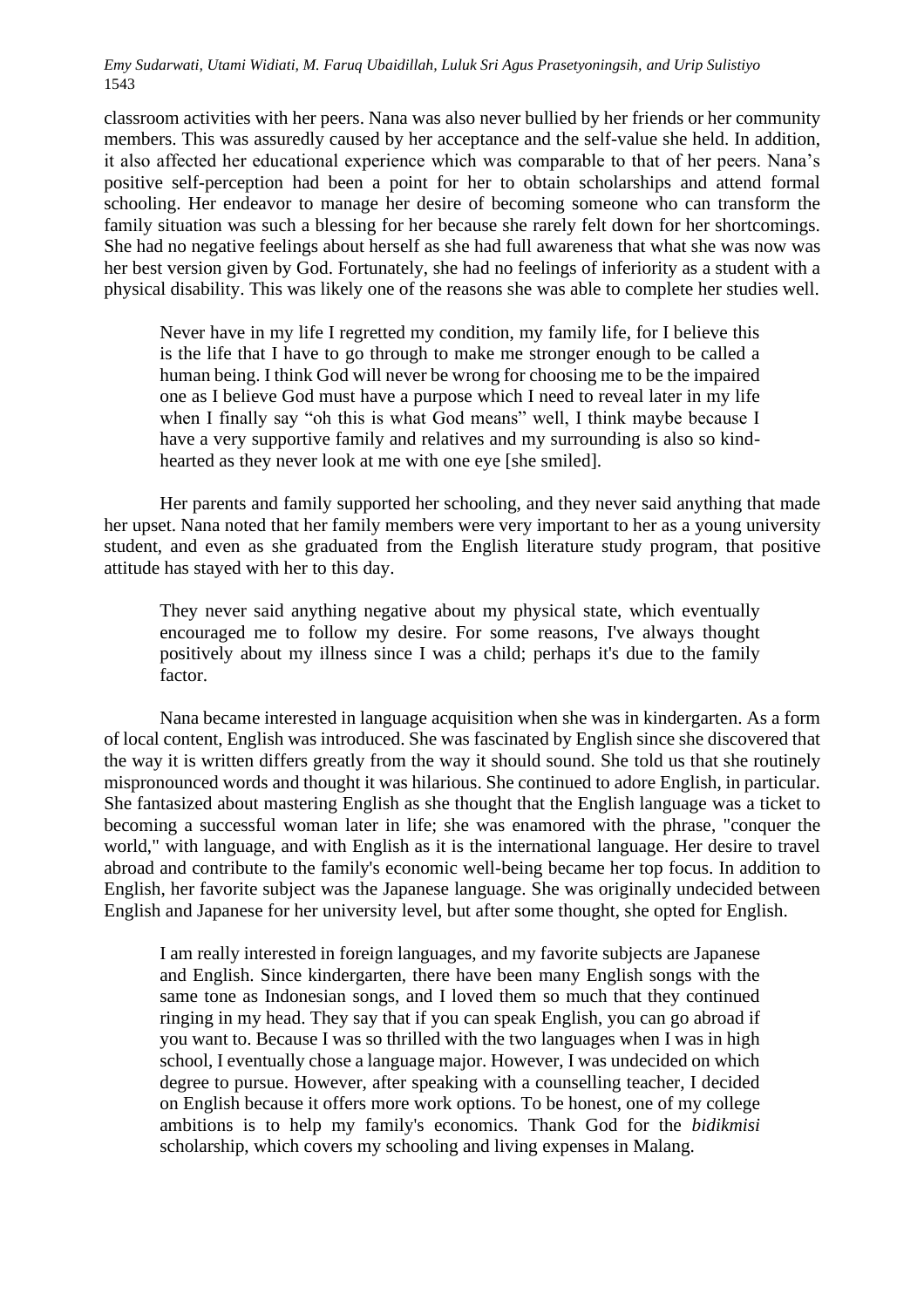classroom activities with her peers. Nana was also never bullied by her friends or her community members. This was assuredly caused by her acceptance and the self-value she held. In addition, it also affected her educational experience which was comparable to that of her peers. Nana's positive self-perception had been a point for her to obtain scholarships and attend formal schooling. Her endeavor to manage her desire of becoming someone who can transform the family situation was such a blessing for her because she rarely felt down for her shortcomings. She had no negative feelings about herself as she had full awareness that what she was now was her best version given by God. Fortunately, she had no feelings of inferiority as a student with a physical disability. This was likely one of the reasons she was able to complete her studies well.

Never have in my life I regretted my condition, my family life, for I believe this is the life that I have to go through to make me stronger enough to be called a human being. I think God will never be wrong for choosing me to be the impaired one as I believe God must have a purpose which I need to reveal later in my life when I finally say "oh this is what God means" well, I think maybe because I have a very supportive family and relatives and my surrounding is also so kindhearted as they never look at me with one eye [she smiled].

Her parents and family supported her schooling, and they never said anything that made her upset. Nana noted that her family members were very important to her as a young university student, and even as she graduated from the English literature study program, that positive attitude has stayed with her to this day.

They never said anything negative about my physical state, which eventually encouraged me to follow my desire. For some reasons, I've always thought positively about my illness since I was a child; perhaps it's due to the family factor.

Nana became interested in language acquisition when she was in kindergarten. As a form of local content, English was introduced. She was fascinated by English since she discovered that the way it is written differs greatly from the way it should sound. She told us that she routinely mispronounced words and thought it was hilarious. She continued to adore English, in particular. She fantasized about mastering English as she thought that the English language was a ticket to becoming a successful woman later in life; she was enamored with the phrase, "conquer the world," with language, and with English as it is the international language. Her desire to travel abroad and contribute to the family's economic well-being became her top focus. In addition to English, her favorite subject was the Japanese language. She was originally undecided between English and Japanese for her university level, but after some thought, she opted for English.

I am really interested in foreign languages, and my favorite subjects are Japanese and English. Since kindergarten, there have been many English songs with the same tone as Indonesian songs, and I loved them so much that they continued ringing in my head. They say that if you can speak English, you can go abroad if you want to. Because I was so thrilled with the two languages when I was in high school, I eventually chose a language major. However, I was undecided on which degree to pursue. However, after speaking with a counselling teacher, I decided on English because it offers more work options. To be honest, one of my college ambitions is to help my family's economics. Thank God for the *bidikmisi* scholarship, which covers my schooling and living expenses in Malang.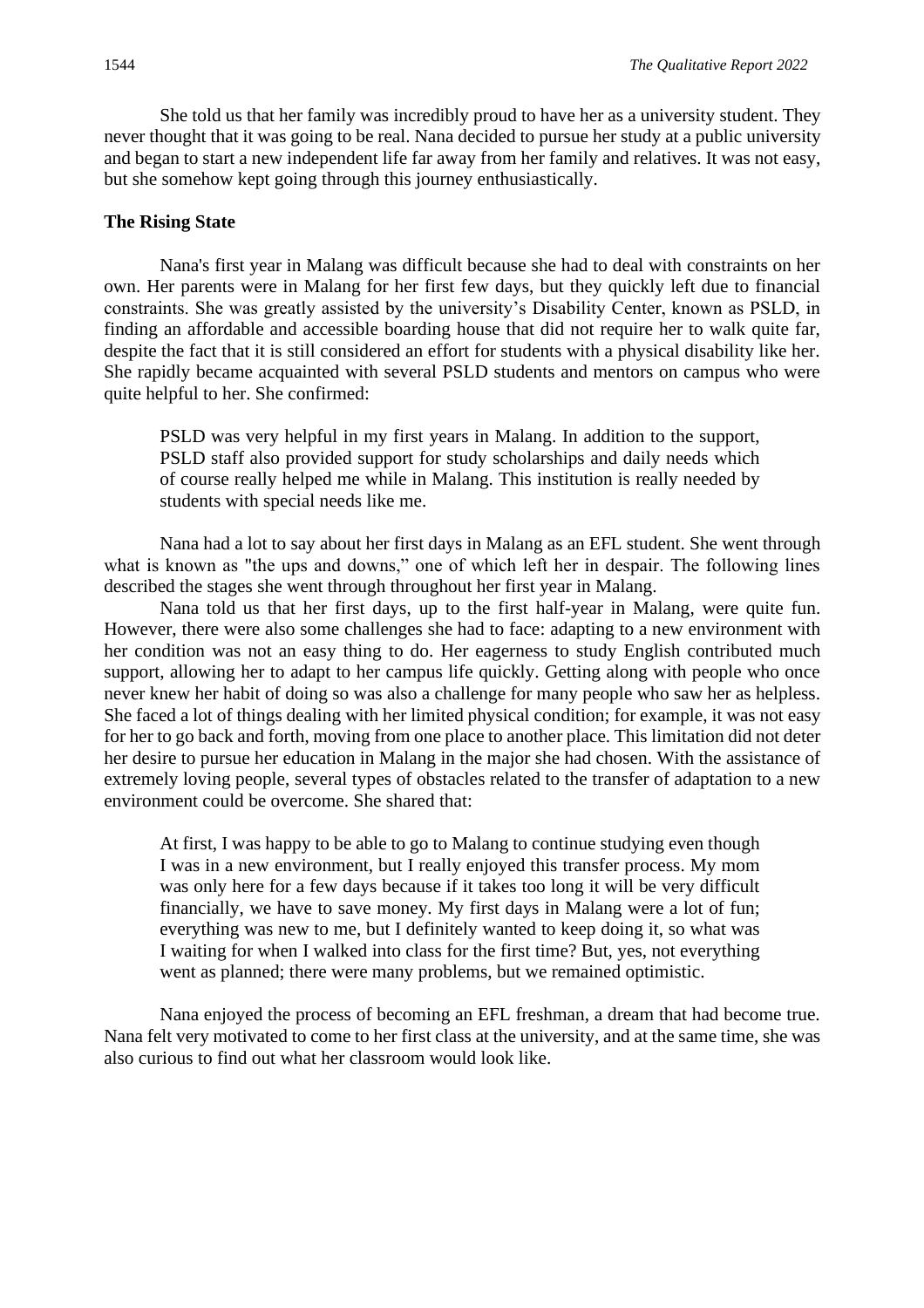She told us that her family was incredibly proud to have her as a university student. They never thought that it was going to be real. Nana decided to pursue her study at a public university and began to start a new independent life far away from her family and relatives. It was not easy, but she somehow kept going through this journey enthusiastically.

#### **The Rising State**

Nana's first year in Malang was difficult because she had to deal with constraints on her own. Her parents were in Malang for her first few days, but they quickly left due to financial constraints. She was greatly assisted by the university's Disability Center, known as PSLD, in finding an affordable and accessible boarding house that did not require her to walk quite far, despite the fact that it is still considered an effort for students with a physical disability like her. She rapidly became acquainted with several PSLD students and mentors on campus who were quite helpful to her. She confirmed:

PSLD was very helpful in my first years in Malang. In addition to the support, PSLD staff also provided support for study scholarships and daily needs which of course really helped me while in Malang. This institution is really needed by students with special needs like me.

Nana had a lot to say about her first days in Malang as an EFL student. She went through what is known as "the ups and downs," one of which left her in despair. The following lines described the stages she went through throughout her first year in Malang.

Nana told us that her first days, up to the first half-year in Malang, were quite fun. However, there were also some challenges she had to face: adapting to a new environment with her condition was not an easy thing to do. Her eagerness to study English contributed much support, allowing her to adapt to her campus life quickly. Getting along with people who once never knew her habit of doing so was also a challenge for many people who saw her as helpless. She faced a lot of things dealing with her limited physical condition; for example, it was not easy for her to go back and forth, moving from one place to another place. This limitation did not deter her desire to pursue her education in Malang in the major she had chosen. With the assistance of extremely loving people, several types of obstacles related to the transfer of adaptation to a new environment could be overcome. She shared that:

At first, I was happy to be able to go to Malang to continue studying even though I was in a new environment, but I really enjoyed this transfer process. My mom was only here for a few days because if it takes too long it will be very difficult financially, we have to save money. My first days in Malang were a lot of fun; everything was new to me, but I definitely wanted to keep doing it, so what was I waiting for when I walked into class for the first time? But, yes, not everything went as planned; there were many problems, but we remained optimistic.

Nana enjoyed the process of becoming an EFL freshman, a dream that had become true. Nana felt very motivated to come to her first class at the university, and at the same time, she was also curious to find out what her classroom would look like.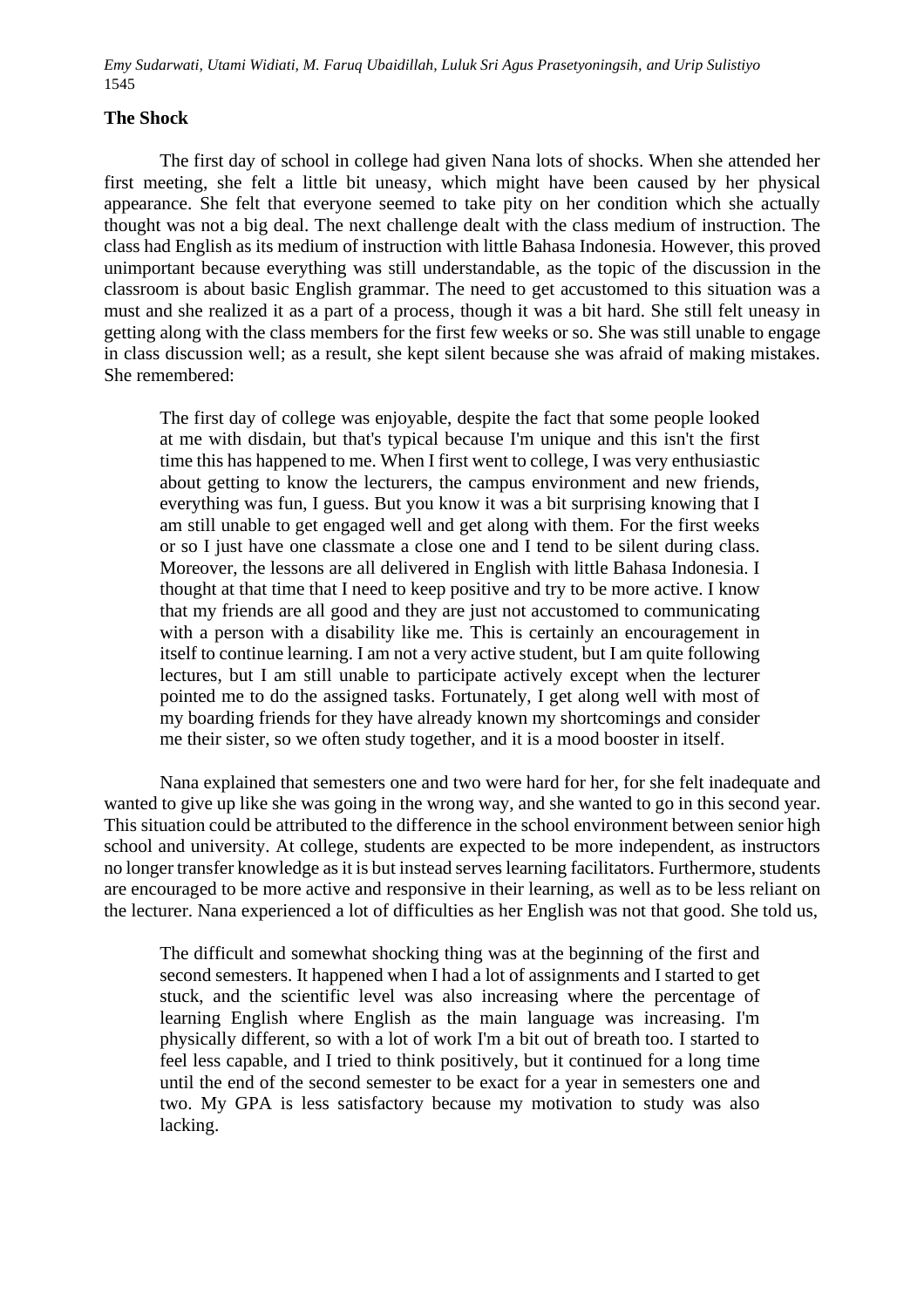#### **The Shock**

The first day of school in college had given Nana lots of shocks. When she attended her first meeting, she felt a little bit uneasy, which might have been caused by her physical appearance. She felt that everyone seemed to take pity on her condition which she actually thought was not a big deal. The next challenge dealt with the class medium of instruction. The class had English as its medium of instruction with little Bahasa Indonesia. However, this proved unimportant because everything was still understandable, as the topic of the discussion in the classroom is about basic English grammar. The need to get accustomed to this situation was a must and she realized it as a part of a process, though it was a bit hard. She still felt uneasy in getting along with the class members for the first few weeks or so. She was still unable to engage in class discussion well; as a result, she kept silent because she was afraid of making mistakes. She remembered:

The first day of college was enjoyable, despite the fact that some people looked at me with disdain, but that's typical because I'm unique and this isn't the first time this has happened to me. When I first went to college, I was very enthusiastic about getting to know the lecturers, the campus environment and new friends, everything was fun, I guess. But you know it was a bit surprising knowing that I am still unable to get engaged well and get along with them. For the first weeks or so I just have one classmate a close one and I tend to be silent during class. Moreover, the lessons are all delivered in English with little Bahasa Indonesia. I thought at that time that I need to keep positive and try to be more active. I know that my friends are all good and they are just not accustomed to communicating with a person with a disability like me. This is certainly an encouragement in itself to continue learning. I am not a very active student, but I am quite following lectures, but I am still unable to participate actively except when the lecturer pointed me to do the assigned tasks. Fortunately, I get along well with most of my boarding friends for they have already known my shortcomings and consider me their sister, so we often study together, and it is a mood booster in itself.

Nana explained that semesters one and two were hard for her, for she felt inadequate and wanted to give up like she was going in the wrong way, and she wanted to go in this second year. This situation could be attributed to the difference in the school environment between senior high school and university. At college, students are expected to be more independent, as instructors no longer transfer knowledge as it is but instead serves learning facilitators. Furthermore, students are encouraged to be more active and responsive in their learning, as well as to be less reliant on the lecturer. Nana experienced a lot of difficulties as her English was not that good. She told us,

The difficult and somewhat shocking thing was at the beginning of the first and second semesters. It happened when I had a lot of assignments and I started to get stuck, and the scientific level was also increasing where the percentage of learning English where English as the main language was increasing. I'm physically different, so with a lot of work I'm a bit out of breath too. I started to feel less capable, and I tried to think positively, but it continued for a long time until the end of the second semester to be exact for a year in semesters one and two. My GPA is less satisfactory because my motivation to study was also lacking.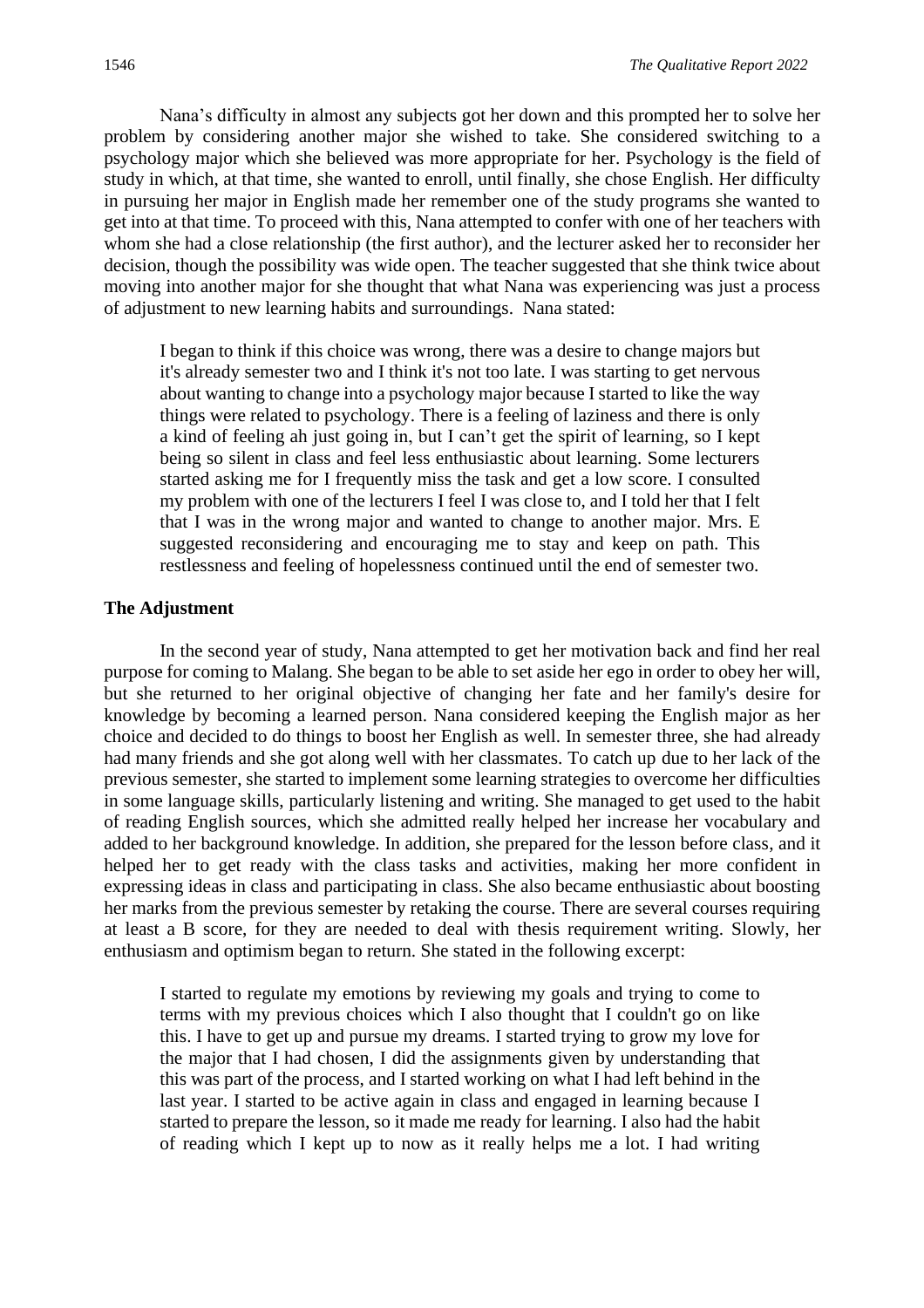Nana's difficulty in almost any subjects got her down and this prompted her to solve her problem by considering another major she wished to take. She considered switching to a psychology major which she believed was more appropriate for her. Psychology is the field of study in which, at that time, she wanted to enroll, until finally, she chose English. Her difficulty in pursuing her major in English made her remember one of the study programs she wanted to get into at that time. To proceed with this, Nana attempted to confer with one of her teachers with whom she had a close relationship (the first author), and the lecturer asked her to reconsider her decision, though the possibility was wide open. The teacher suggested that she think twice about moving into another major for she thought that what Nana was experiencing was just a process of adjustment to new learning habits and surroundings. Nana stated:

I began to think if this choice was wrong, there was a desire to change majors but it's already semester two and I think it's not too late. I was starting to get nervous about wanting to change into a psychology major because I started to like the way things were related to psychology. There is a feeling of laziness and there is only a kind of feeling ah just going in, but I can't get the spirit of learning, so I kept being so silent in class and feel less enthusiastic about learning. Some lecturers started asking me for I frequently miss the task and get a low score. I consulted my problem with one of the lecturers I feel I was close to, and I told her that I felt that I was in the wrong major and wanted to change to another major. Mrs. E suggested reconsidering and encouraging me to stay and keep on path. This restlessness and feeling of hopelessness continued until the end of semester two.

#### **The Adjustment**

In the second year of study, Nana attempted to get her motivation back and find her real purpose for coming to Malang. She began to be able to set aside her ego in order to obey her will, but she returned to her original objective of changing her fate and her family's desire for knowledge by becoming a learned person. Nana considered keeping the English major as her choice and decided to do things to boost her English as well. In semester three, she had already had many friends and she got along well with her classmates. To catch up due to her lack of the previous semester, she started to implement some learning strategies to overcome her difficulties in some language skills, particularly listening and writing. She managed to get used to the habit of reading English sources, which she admitted really helped her increase her vocabulary and added to her background knowledge. In addition, she prepared for the lesson before class, and it helped her to get ready with the class tasks and activities, making her more confident in expressing ideas in class and participating in class. She also became enthusiastic about boosting her marks from the previous semester by retaking the course. There are several courses requiring at least a B score, for they are needed to deal with thesis requirement writing. Slowly, her enthusiasm and optimism began to return. She stated in the following excerpt:

I started to regulate my emotions by reviewing my goals and trying to come to terms with my previous choices which I also thought that I couldn't go on like this. I have to get up and pursue my dreams. I started trying to grow my love for the major that I had chosen, I did the assignments given by understanding that this was part of the process, and I started working on what I had left behind in the last year. I started to be active again in class and engaged in learning because I started to prepare the lesson, so it made me ready for learning. I also had the habit of reading which I kept up to now as it really helps me a lot. I had writing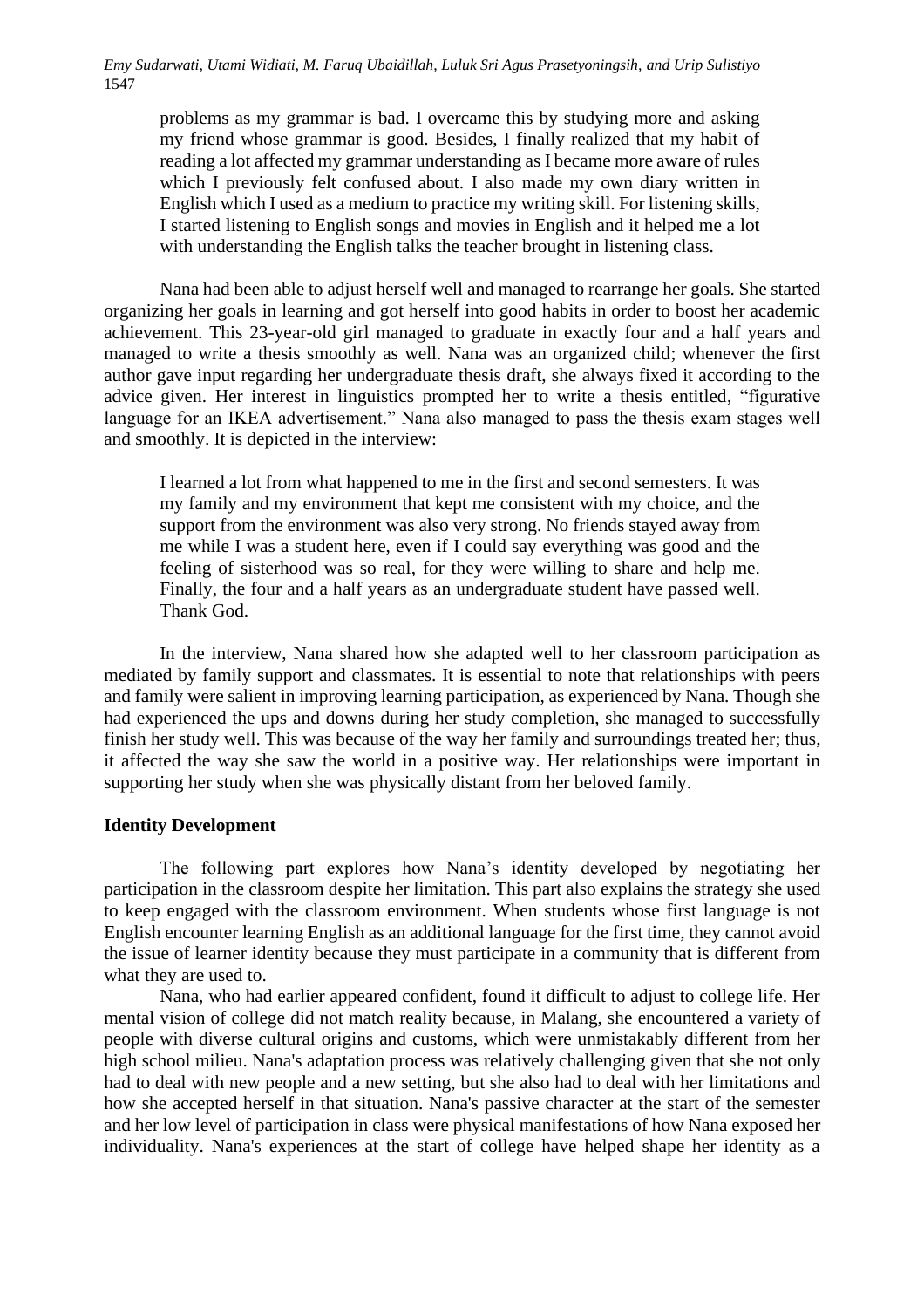problems as my grammar is bad. I overcame this by studying more and asking my friend whose grammar is good. Besides, I finally realized that my habit of reading a lot affected my grammar understanding as I became more aware of rules which I previously felt confused about. I also made my own diary written in English which I used as a medium to practice my writing skill. For listening skills, I started listening to English songs and movies in English and it helped me a lot with understanding the English talks the teacher brought in listening class.

Nana had been able to adjust herself well and managed to rearrange her goals. She started organizing her goals in learning and got herself into good habits in order to boost her academic achievement. This 23-year-old girl managed to graduate in exactly four and a half years and managed to write a thesis smoothly as well. Nana was an organized child; whenever the first author gave input regarding her undergraduate thesis draft, she always fixed it according to the advice given. Her interest in linguistics prompted her to write a thesis entitled, "figurative language for an IKEA advertisement." Nana also managed to pass the thesis exam stages well and smoothly. It is depicted in the interview:

I learned a lot from what happened to me in the first and second semesters. It was my family and my environment that kept me consistent with my choice, and the support from the environment was also very strong. No friends stayed away from me while I was a student here, even if I could say everything was good and the feeling of sisterhood was so real, for they were willing to share and help me. Finally, the four and a half years as an undergraduate student have passed well. Thank God.

 In the interview, Nana shared how she adapted well to her classroom participation as mediated by family support and classmates. It is essential to note that relationships with peers and family were salient in improving learning participation, as experienced by Nana. Though she had experienced the ups and downs during her study completion, she managed to successfully finish her study well. This was because of the way her family and surroundings treated her; thus, it affected the way she saw the world in a positive way. Her relationships were important in supporting her study when she was physically distant from her beloved family.

#### **Identity Development**

The following part explores how Nana's identity developed by negotiating her participation in the classroom despite her limitation. This part also explains the strategy she used to keep engaged with the classroom environment. When students whose first language is not English encounter learning English as an additional language for the first time, they cannot avoid the issue of learner identity because they must participate in a community that is different from what they are used to.

Nana, who had earlier appeared confident, found it difficult to adjust to college life. Her mental vision of college did not match reality because, in Malang, she encountered a variety of people with diverse cultural origins and customs, which were unmistakably different from her high school milieu. Nana's adaptation process was relatively challenging given that she not only had to deal with new people and a new setting, but she also had to deal with her limitations and how she accepted herself in that situation. Nana's passive character at the start of the semester and her low level of participation in class were physical manifestations of how Nana exposed her individuality. Nana's experiences at the start of college have helped shape her identity as a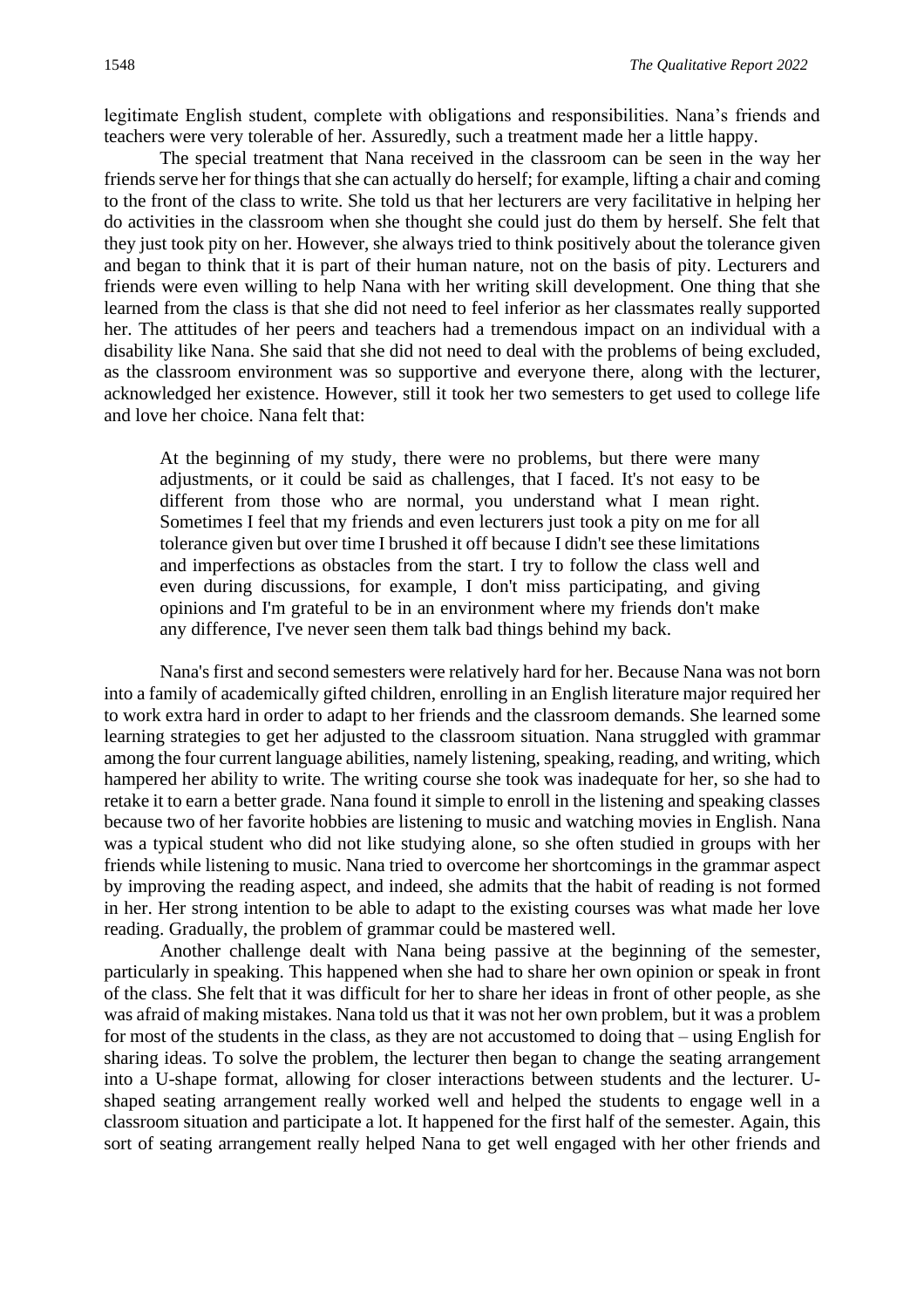legitimate English student, complete with obligations and responsibilities. Nana's friends and teachers were very tolerable of her. Assuredly, such a treatment made her a little happy.

The special treatment that Nana received in the classroom can be seen in the way her friends serve her for things that she can actually do herself; for example, lifting a chair and coming to the front of the class to write. She told us that her lecturers are very facilitative in helping her do activities in the classroom when she thought she could just do them by herself. She felt that they just took pity on her. However, she always tried to think positively about the tolerance given and began to think that it is part of their human nature, not on the basis of pity. Lecturers and friends were even willing to help Nana with her writing skill development. One thing that she learned from the class is that she did not need to feel inferior as her classmates really supported her. The attitudes of her peers and teachers had a tremendous impact on an individual with a disability like Nana. She said that she did not need to deal with the problems of being excluded, as the classroom environment was so supportive and everyone there, along with the lecturer, acknowledged her existence. However, still it took her two semesters to get used to college life and love her choice. Nana felt that:

At the beginning of my study, there were no problems, but there were many adjustments, or it could be said as challenges, that I faced. It's not easy to be different from those who are normal, you understand what I mean right. Sometimes I feel that my friends and even lecturers just took a pity on me for all tolerance given but over time I brushed it off because I didn't see these limitations and imperfections as obstacles from the start. I try to follow the class well and even during discussions, for example, I don't miss participating, and giving opinions and I'm grateful to be in an environment where my friends don't make any difference, I've never seen them talk bad things behind my back.

Nana's first and second semesters were relatively hard for her. Because Nana was not born into a family of academically gifted children, enrolling in an English literature major required her to work extra hard in order to adapt to her friends and the classroom demands. She learned some learning strategies to get her adjusted to the classroom situation. Nana struggled with grammar among the four current language abilities, namely listening, speaking, reading, and writing, which hampered her ability to write. The writing course she took was inadequate for her, so she had to retake it to earn a better grade. Nana found it simple to enroll in the listening and speaking classes because two of her favorite hobbies are listening to music and watching movies in English. Nana was a typical student who did not like studying alone, so she often studied in groups with her friends while listening to music. Nana tried to overcome her shortcomings in the grammar aspect by improving the reading aspect, and indeed, she admits that the habit of reading is not formed in her. Her strong intention to be able to adapt to the existing courses was what made her love reading. Gradually, the problem of grammar could be mastered well.

Another challenge dealt with Nana being passive at the beginning of the semester, particularly in speaking. This happened when she had to share her own opinion or speak in front of the class. She felt that it was difficult for her to share her ideas in front of other people, as she was afraid of making mistakes. Nana told us that it was not her own problem, but it was a problem for most of the students in the class, as they are not accustomed to doing that – using English for sharing ideas. To solve the problem, the lecturer then began to change the seating arrangement into a U-shape format, allowing for closer interactions between students and the lecturer. Ushaped seating arrangement really worked well and helped the students to engage well in a classroom situation and participate a lot. It happened for the first half of the semester. Again, this sort of seating arrangement really helped Nana to get well engaged with her other friends and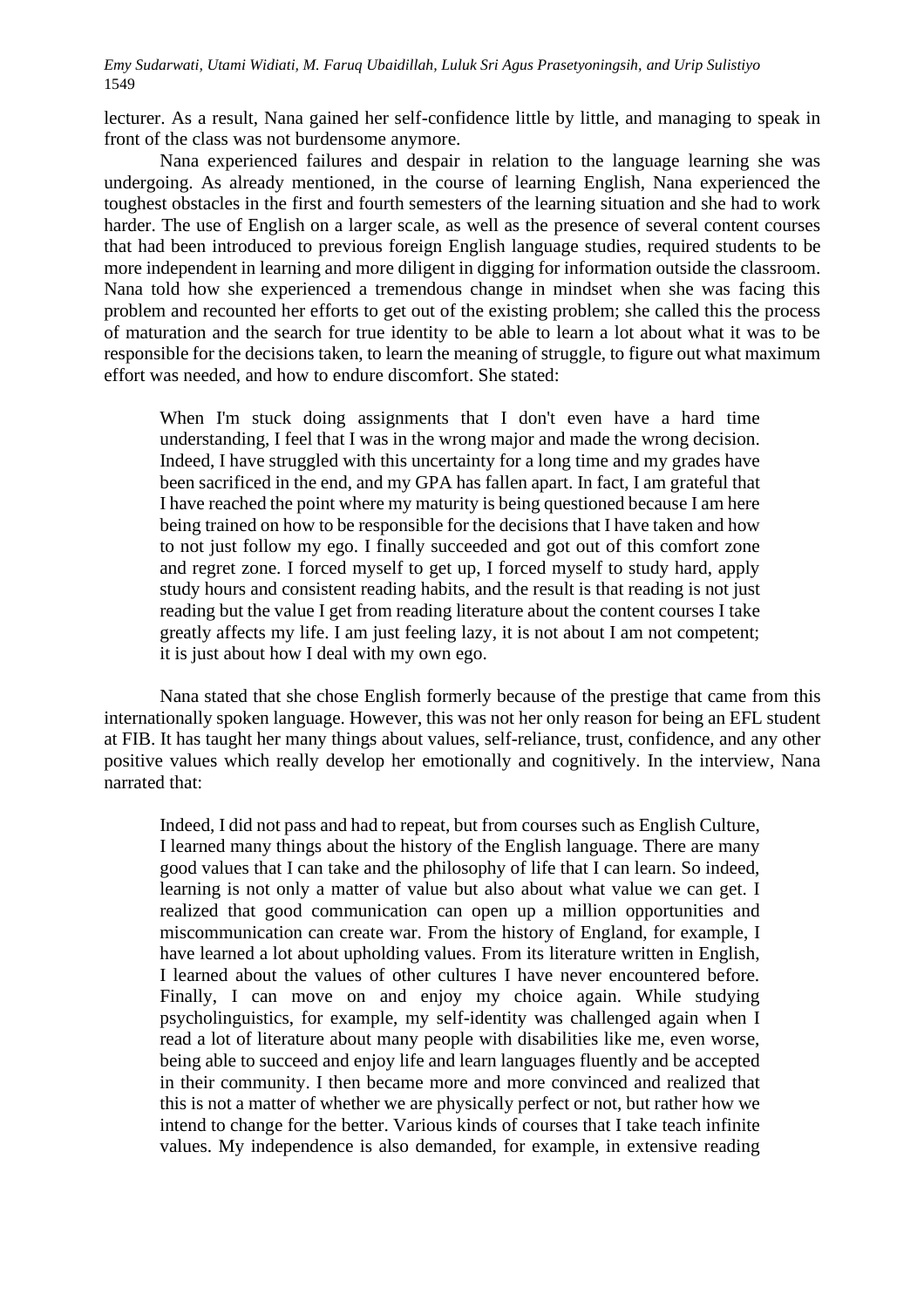lecturer. As a result, Nana gained her self-confidence little by little, and managing to speak in front of the class was not burdensome anymore.

Nana experienced failures and despair in relation to the language learning she was undergoing. As already mentioned, in the course of learning English, Nana experienced the toughest obstacles in the first and fourth semesters of the learning situation and she had to work harder. The use of English on a larger scale, as well as the presence of several content courses that had been introduced to previous foreign English language studies, required students to be more independent in learning and more diligent in digging for information outside the classroom. Nana told how she experienced a tremendous change in mindset when she was facing this problem and recounted her efforts to get out of the existing problem; she called this the process of maturation and the search for true identity to be able to learn a lot about what it was to be responsible for the decisions taken, to learn the meaning of struggle, to figure out what maximum effort was needed, and how to endure discomfort. She stated:

When I'm stuck doing assignments that I don't even have a hard time understanding, I feel that I was in the wrong major and made the wrong decision. Indeed, I have struggled with this uncertainty for a long time and my grades have been sacrificed in the end, and my GPA has fallen apart. In fact, I am grateful that I have reached the point where my maturity is being questioned because I am here being trained on how to be responsible for the decisions that I have taken and how to not just follow my ego. I finally succeeded and got out of this comfort zone and regret zone. I forced myself to get up, I forced myself to study hard, apply study hours and consistent reading habits, and the result is that reading is not just reading but the value I get from reading literature about the content courses I take greatly affects my life. I am just feeling lazy, it is not about I am not competent; it is just about how I deal with my own ego.

Nana stated that she chose English formerly because of the prestige that came from this internationally spoken language. However, this was not her only reason for being an EFL student at FIB. It has taught her many things about values, self-reliance, trust, confidence, and any other positive values which really develop her emotionally and cognitively. In the interview, Nana narrated that:

Indeed, I did not pass and had to repeat, but from courses such as English Culture, I learned many things about the history of the English language. There are many good values that I can take and the philosophy of life that I can learn. So indeed, learning is not only a matter of value but also about what value we can get. I realized that good communication can open up a million opportunities and miscommunication can create war. From the history of England, for example, I have learned a lot about upholding values. From its literature written in English, I learned about the values of other cultures I have never encountered before. Finally, I can move on and enjoy my choice again. While studying psycholinguistics, for example, my self-identity was challenged again when I read a lot of literature about many people with disabilities like me, even worse, being able to succeed and enjoy life and learn languages fluently and be accepted in their community. I then became more and more convinced and realized that this is not a matter of whether we are physically perfect or not, but rather how we intend to change for the better. Various kinds of courses that I take teach infinite values. My independence is also demanded, for example, in extensive reading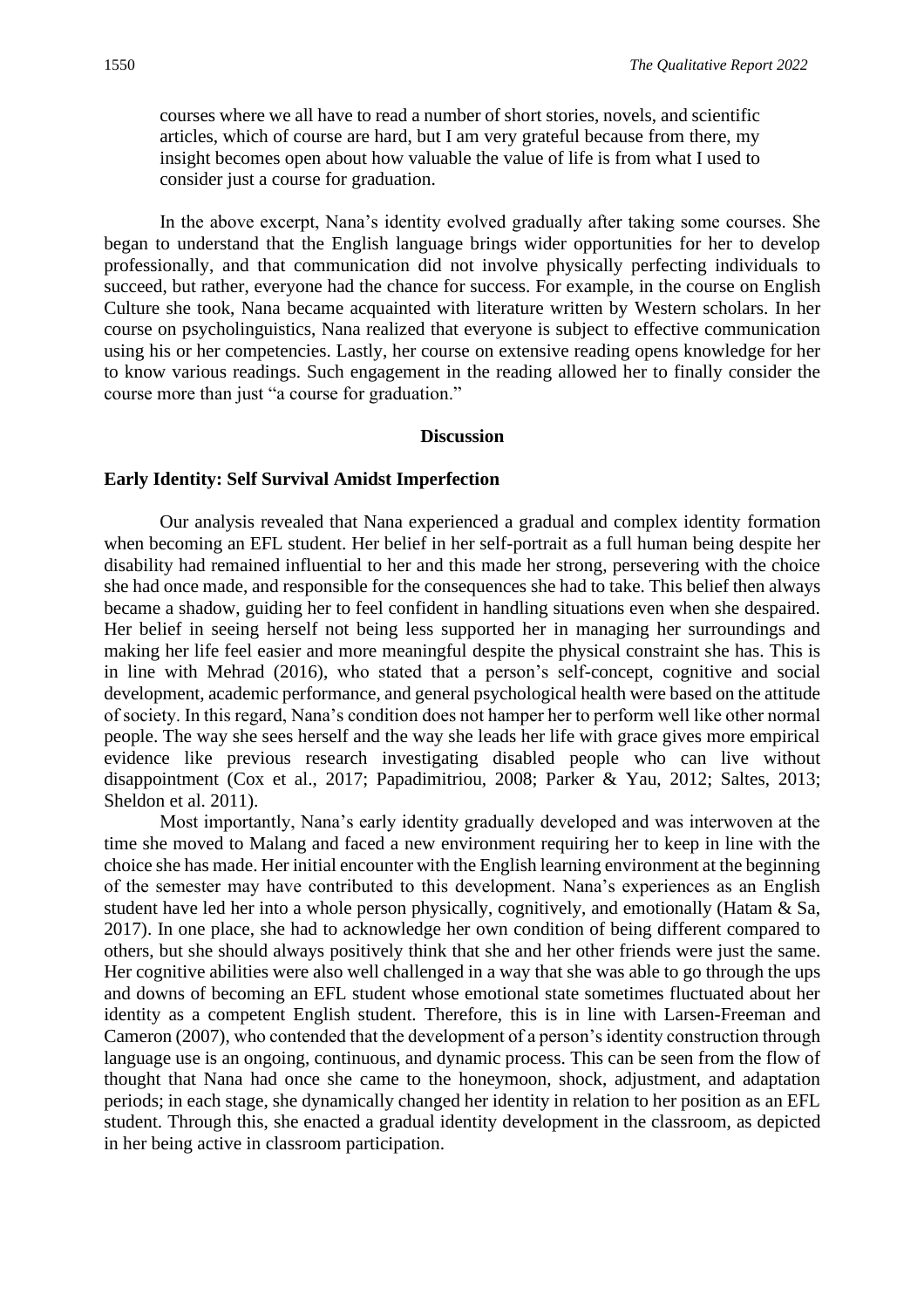courses where we all have to read a number of short stories, novels, and scientific articles, which of course are hard, but I am very grateful because from there, my insight becomes open about how valuable the value of life is from what I used to consider just a course for graduation.

In the above excerpt, Nana's identity evolved gradually after taking some courses. She began to understand that the English language brings wider opportunities for her to develop professionally, and that communication did not involve physically perfecting individuals to succeed, but rather, everyone had the chance for success. For example, in the course on English Culture she took, Nana became acquainted with literature written by Western scholars. In her course on psycholinguistics, Nana realized that everyone is subject to effective communication using his or her competencies. Lastly, her course on extensive reading opens knowledge for her to know various readings. Such engagement in the reading allowed her to finally consider the course more than just "a course for graduation."

#### **Discussion**

#### **Early Identity: Self Survival Amidst Imperfection**

Our analysis revealed that Nana experienced a gradual and complex identity formation when becoming an EFL student. Her belief in her self-portrait as a full human being despite her disability had remained influential to her and this made her strong, persevering with the choice she had once made, and responsible for the consequences she had to take. This belief then always became a shadow, guiding her to feel confident in handling situations even when she despaired. Her belief in seeing herself not being less supported her in managing her surroundings and making her life feel easier and more meaningful despite the physical constraint she has. This is in line with Mehrad (2016), who stated that a person's self-concept, cognitive and social development, academic performance, and general psychological health were based on the attitude of society. In this regard, Nana's condition does not hamper her to perform well like other normal people. The way she sees herself and the way she leads her life with grace gives more empirical evidence like previous research investigating disabled people who can live without disappointment (Cox et al., 2017; Papadimitriou, 2008; Parker & Yau, 2012; Saltes, 2013; Sheldon et al. 2011).

Most importantly, Nana's early identity gradually developed and was interwoven at the time she moved to Malang and faced a new environment requiring her to keep in line with the choice she has made. Her initial encounter with the English learning environment at the beginning of the semester may have contributed to this development. Nana's experiences as an English student have led her into a whole person physically, cognitively, and emotionally (Hatam & Sa, 2017). In one place, she had to acknowledge her own condition of being different compared to others, but she should always positively think that she and her other friends were just the same. Her cognitive abilities were also well challenged in a way that she was able to go through the ups and downs of becoming an EFL student whose emotional state sometimes fluctuated about her identity as a competent English student. Therefore, this is in line with Larsen-Freeman and Cameron (2007), who contended that the development of a person's identity construction through language use is an ongoing, continuous, and dynamic process. This can be seen from the flow of thought that Nana had once she came to the honeymoon, shock, adjustment, and adaptation periods; in each stage, she dynamically changed her identity in relation to her position as an EFL student. Through this, she enacted a gradual identity development in the classroom, as depicted in her being active in classroom participation.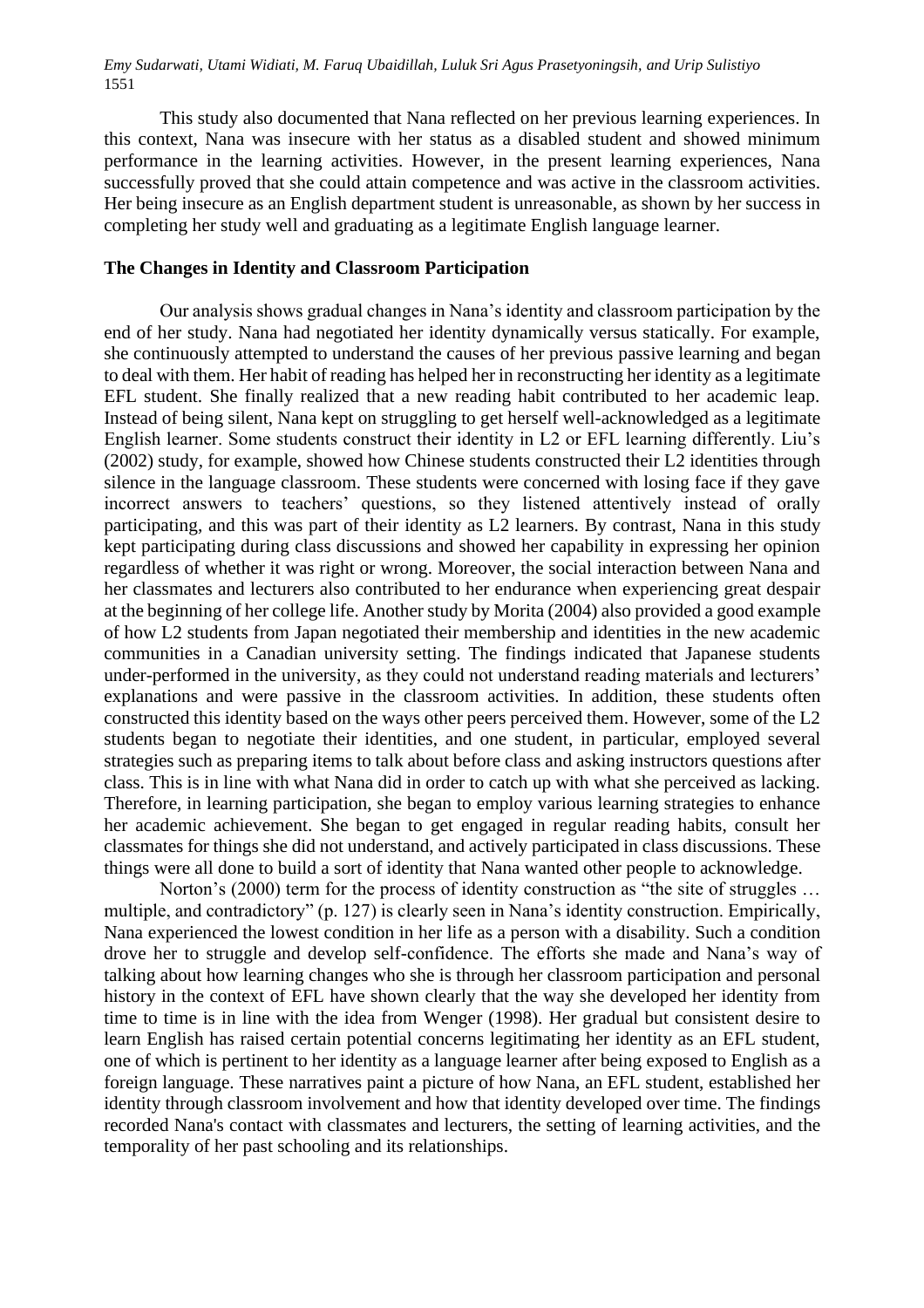This study also documented that Nana reflected on her previous learning experiences. In this context, Nana was insecure with her status as a disabled student and showed minimum performance in the learning activities. However, in the present learning experiences, Nana successfully proved that she could attain competence and was active in the classroom activities. Her being insecure as an English department student is unreasonable, as shown by her success in completing her study well and graduating as a legitimate English language learner.

#### **The Changes in Identity and Classroom Participation**

Our analysis shows gradual changes in Nana's identity and classroom participation by the end of her study. Nana had negotiated her identity dynamically versus statically. For example, she continuously attempted to understand the causes of her previous passive learning and began to deal with them. Her habit of reading has helped her in reconstructing her identity as a legitimate EFL student. She finally realized that a new reading habit contributed to her academic leap. Instead of being silent, Nana kept on struggling to get herself well-acknowledged as a legitimate English learner. Some students construct their identity in L2 or EFL learning differently. Liu's (2002) study, for example, showed how Chinese students constructed their L2 identities through silence in the language classroom. These students were concerned with losing face if they gave incorrect answers to teachers' questions, so they listened attentively instead of orally participating, and this was part of their identity as L2 learners. By contrast, Nana in this study kept participating during class discussions and showed her capability in expressing her opinion regardless of whether it was right or wrong. Moreover, the social interaction between Nana and her classmates and lecturers also contributed to her endurance when experiencing great despair at the beginning of her college life. Another study by Morita (2004) also provided a good example of how L2 students from Japan negotiated their membership and identities in the new academic communities in a Canadian university setting. The findings indicated that Japanese students under-performed in the university, as they could not understand reading materials and lecturers' explanations and were passive in the classroom activities. In addition, these students often constructed this identity based on the ways other peers perceived them. However, some of the L2 students began to negotiate their identities, and one student, in particular, employed several strategies such as preparing items to talk about before class and asking instructors questions after class. This is in line with what Nana did in order to catch up with what she perceived as lacking. Therefore, in learning participation, she began to employ various learning strategies to enhance her academic achievement. She began to get engaged in regular reading habits, consult her classmates for things she did not understand, and actively participated in class discussions. These things were all done to build a sort of identity that Nana wanted other people to acknowledge.

Norton's (2000) term for the process of identity construction as "the site of struggles … multiple, and contradictory" (p. 127) is clearly seen in Nana's identity construction. Empirically, Nana experienced the lowest condition in her life as a person with a disability. Such a condition drove her to struggle and develop self-confidence. The efforts she made and Nana's way of talking about how learning changes who she is through her classroom participation and personal history in the context of EFL have shown clearly that the way she developed her identity from time to time is in line with the idea from Wenger (1998). Her gradual but consistent desire to learn English has raised certain potential concerns legitimating her identity as an EFL student, one of which is pertinent to her identity as a language learner after being exposed to English as a foreign language. These narratives paint a picture of how Nana, an EFL student, established her identity through classroom involvement and how that identity developed over time. The findings recorded Nana's contact with classmates and lecturers, the setting of learning activities, and the temporality of her past schooling and its relationships.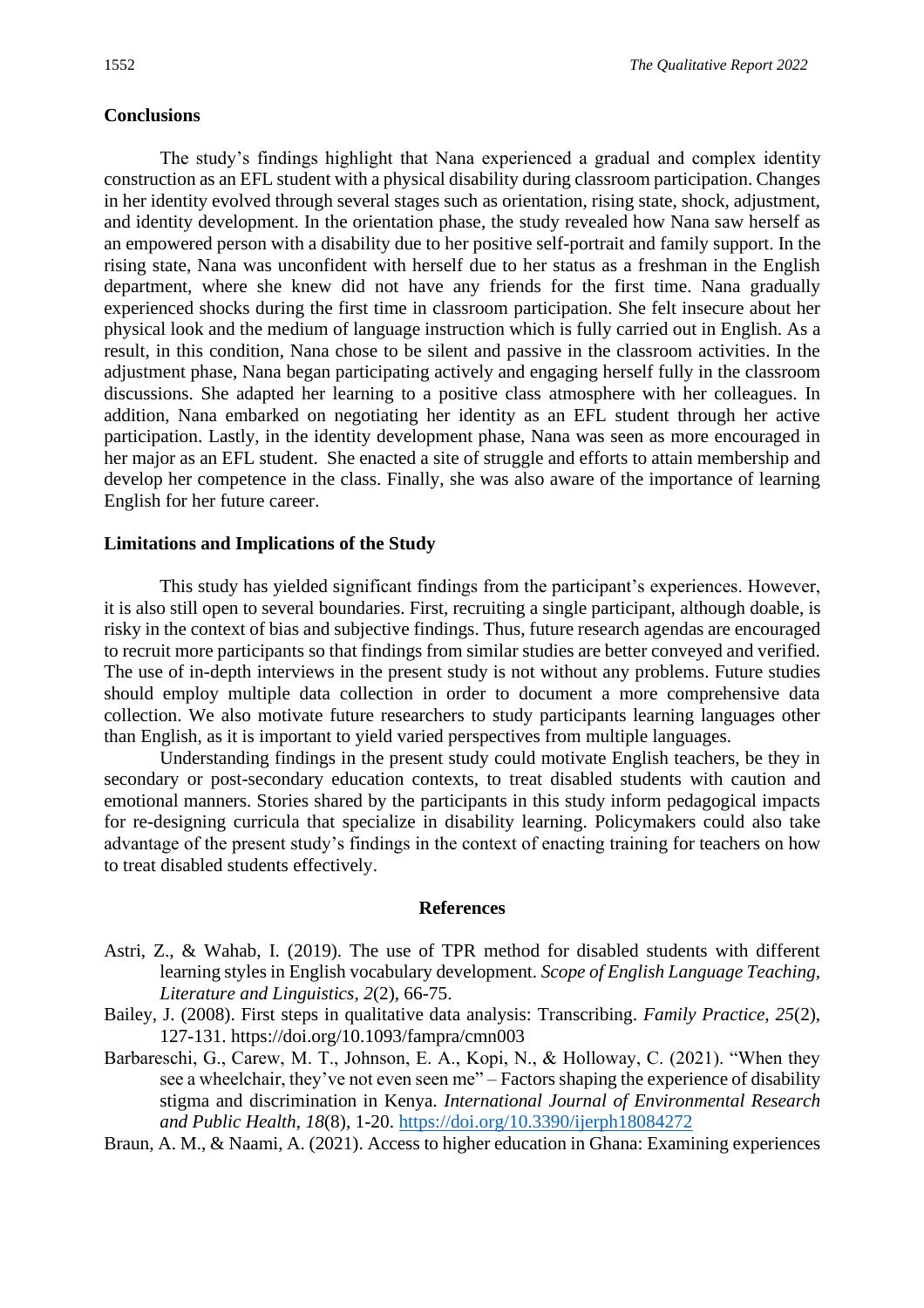#### **Conclusions**

The study's findings highlight that Nana experienced a gradual and complex identity construction as an EFL student with a physical disability during classroom participation. Changes in her identity evolved through several stages such as orientation, rising state, shock, adjustment, and identity development. In the orientation phase, the study revealed how Nana saw herself as an empowered person with a disability due to her positive self-portrait and family support. In the rising state, Nana was unconfident with herself due to her status as a freshman in the English department, where she knew did not have any friends for the first time. Nana gradually experienced shocks during the first time in classroom participation. She felt insecure about her physical look and the medium of language instruction which is fully carried out in English. As a result, in this condition, Nana chose to be silent and passive in the classroom activities. In the adjustment phase, Nana began participating actively and engaging herself fully in the classroom discussions. She adapted her learning to a positive class atmosphere with her colleagues. In addition, Nana embarked on negotiating her identity as an EFL student through her active participation. Lastly, in the identity development phase, Nana was seen as more encouraged in her major as an EFL student. She enacted a site of struggle and efforts to attain membership and develop her competence in the class. Finally, she was also aware of the importance of learning English for her future career.

#### **Limitations and Implications of the Study**

This study has yielded significant findings from the participant's experiences. However, it is also still open to several boundaries. First, recruiting a single participant, although doable, is risky in the context of bias and subjective findings. Thus, future research agendas are encouraged to recruit more participants so that findings from similar studies are better conveyed and verified. The use of in-depth interviews in the present study is not without any problems. Future studies should employ multiple data collection in order to document a more comprehensive data collection. We also motivate future researchers to study participants learning languages other than English, as it is important to yield varied perspectives from multiple languages.

Understanding findings in the present study could motivate English teachers, be they in secondary or post-secondary education contexts, to treat disabled students with caution and emotional manners. Stories shared by the participants in this study inform pedagogical impacts for re-designing curricula that specialize in disability learning. Policymakers could also take advantage of the present study's findings in the context of enacting training for teachers on how to treat disabled students effectively.

#### **References**

- Astri, Z., & Wahab, I. (2019). The use of TPR method for disabled students with different learning styles in English vocabulary development. *Scope of English Language Teaching, Literature and Linguistics*, *2*(2), 66-75.
- Bailey, J. (2008). First steps in qualitative data analysis: Transcribing. *Family Practice, 25*(2), 127-131. https://doi.org/10.1093/fampra/cmn003
- Barbareschi, G., Carew, M. T., Johnson, E. A., Kopi, N., & Holloway, C. (2021). "When they see a wheelchair, they've not even seen me" – Factors shaping the experience of disability stigma and discrimination in Kenya. *International Journal of Environmental Research and Public Health*, *18*(8), 1-20.<https://doi.org/10.3390/ijerph18084272>

Braun, A. M., & Naami, A. (2021). Access to higher education in Ghana: Examining experiences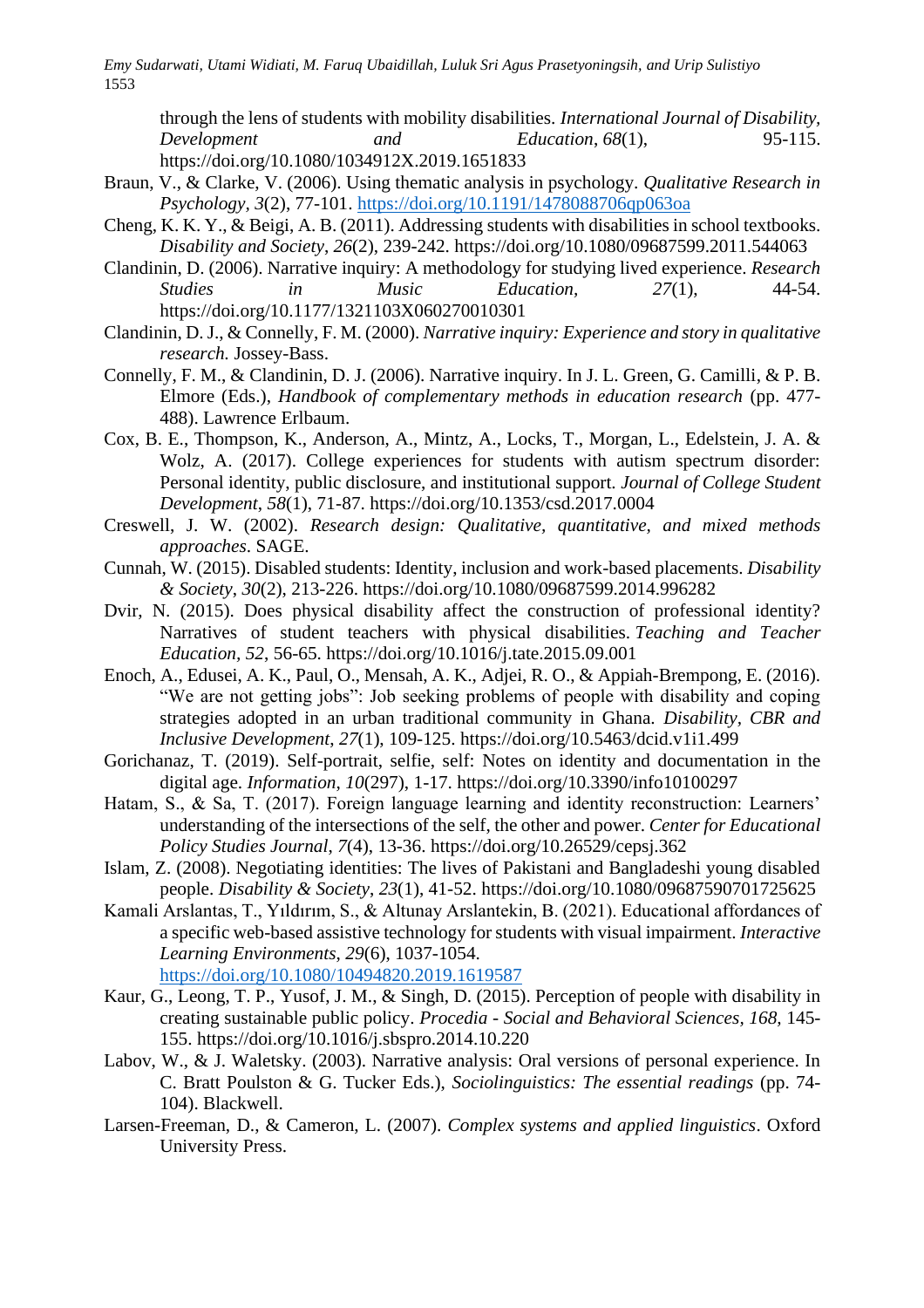through the lens of students with mobility disabilities. *International Journal of Disability, Development and Education*, *68*(1), 95-115. https://doi.org/10.1080/1034912X.2019.1651833

- Braun, V., & Clarke, V. (2006). Using thematic analysis in psychology. *Qualitative Research in Psychology, 3*(2), 77-101. [https://doi.org/10.1191/1478088706qp063oa](https://psycnet.apa.org/doi/10.1191/1478088706qp063oa)
- Cheng, K. K. Y., & Beigi, A. B. (2011). Addressing students with disabilities in school textbooks. *Disability and Society*, *26*(2), 239-242. https://doi.org/10.1080/09687599.2011.544063
- Clandinin, D. (2006). Narrative inquiry: A methodology for studying lived experience. *Research Studies in Music Education, 27*(1), 44-54. https://doi.org/10.1177/1321103X060270010301
- Clandinin, D. J., & Connelly, F. M. (2000). *Narrative inquiry: Experience and story in qualitative research.* Jossey-Bass.
- Connelly, F. M., & Clandinin, D. J. (2006). Narrative inquiry. In J. L. Green, G. Camilli, & P. B. Elmore (Eds.), *Handbook of complementary methods in education research* (pp. 477- 488). Lawrence Erlbaum.
- Cox, B. E., Thompson, K., Anderson, A., Mintz, A., Locks, T., Morgan, L., Edelstein, J. A. & Wolz, A. (2017). College experiences for students with autism spectrum disorder: Personal identity, public disclosure, and institutional support. *Journal of College Student Development*, *58*(1), 71-87. https://doi.org/10.1353/csd.2017.0004
- Creswell, J. W. (2002). *Research design: Qualitative, quantitative, and mixed methods approaches*. SAGE.
- Cunnah, W. (2015). Disabled students: Identity, inclusion and work-based placements. *Disability & Society*, *30*(2), 213-226. https://doi.org/10.1080/09687599.2014.996282
- Dvir, N. (2015). Does physical disability affect the construction of professional identity? Narratives of student teachers with physical disabilities. *Teaching and Teacher Education, 52*, 56-65. https://doi.org/10.1016/j.tate.2015.09.001
- Enoch, A., Edusei, A. K., Paul, O., Mensah, A. K., Adjei, R. O., & Appiah-Brempong, E. (2016). "We are not getting jobs": Job seeking problems of people with disability and coping strategies adopted in an urban traditional community in Ghana. *Disability, CBR and Inclusive Development*, *27*(1), 109-125. https://doi.org/10.5463/dcid.v1i1.499
- Gorichanaz, T. (2019). Self-portrait, selfie, self: Notes on identity and documentation in the digital age. *Information*, *10*(297), 1-17. https://doi.org/10.3390/info10100297
- Hatam, S., & Sa, T. (2017). Foreign language learning and identity reconstruction: Learners' understanding of the intersections of the self, the other and power. *Center for Educational Policy Studies Journal*, *7*(4), 13-36. https://doi.org/10.26529/cepsj.362
- Islam, Z. (2008). Negotiating identities: The lives of Pakistani and Bangladeshi young disabled people. *Disability & Society*, *23*(1), 41-52. https://doi.org/10.1080/09687590701725625
- Kamali Arslantas, T., Yıldırım, S., & Altunay Arslantekin, B. (2021). Educational affordances of a specific web-based assistive technology for students with visual impairment. *Interactive Learning Environments*, *29*(6), 1037-1054. <https://doi.org/10.1080/10494820.2019.1619587>
- Kaur, G., Leong, T. P., Yusof, J. M., & Singh, D. (2015). Perception of people with disability in creating sustainable public policy. *Procedia - Social and Behavioral Sciences, 168,* 145- 155. https://doi.org/10.1016/j.sbspro.2014.10.220
- Labov, W., & J. Waletsky. (2003). Narrative analysis: Oral versions of personal experience. In C. Bratt Poulston & G. Tucker Eds.), *Sociolinguistics: The essential readings* (pp. 74- 104). Blackwell.
- Larsen-Freeman, D., & Cameron, L. (2007). *Complex systems and applied linguistics*. Oxford University Press.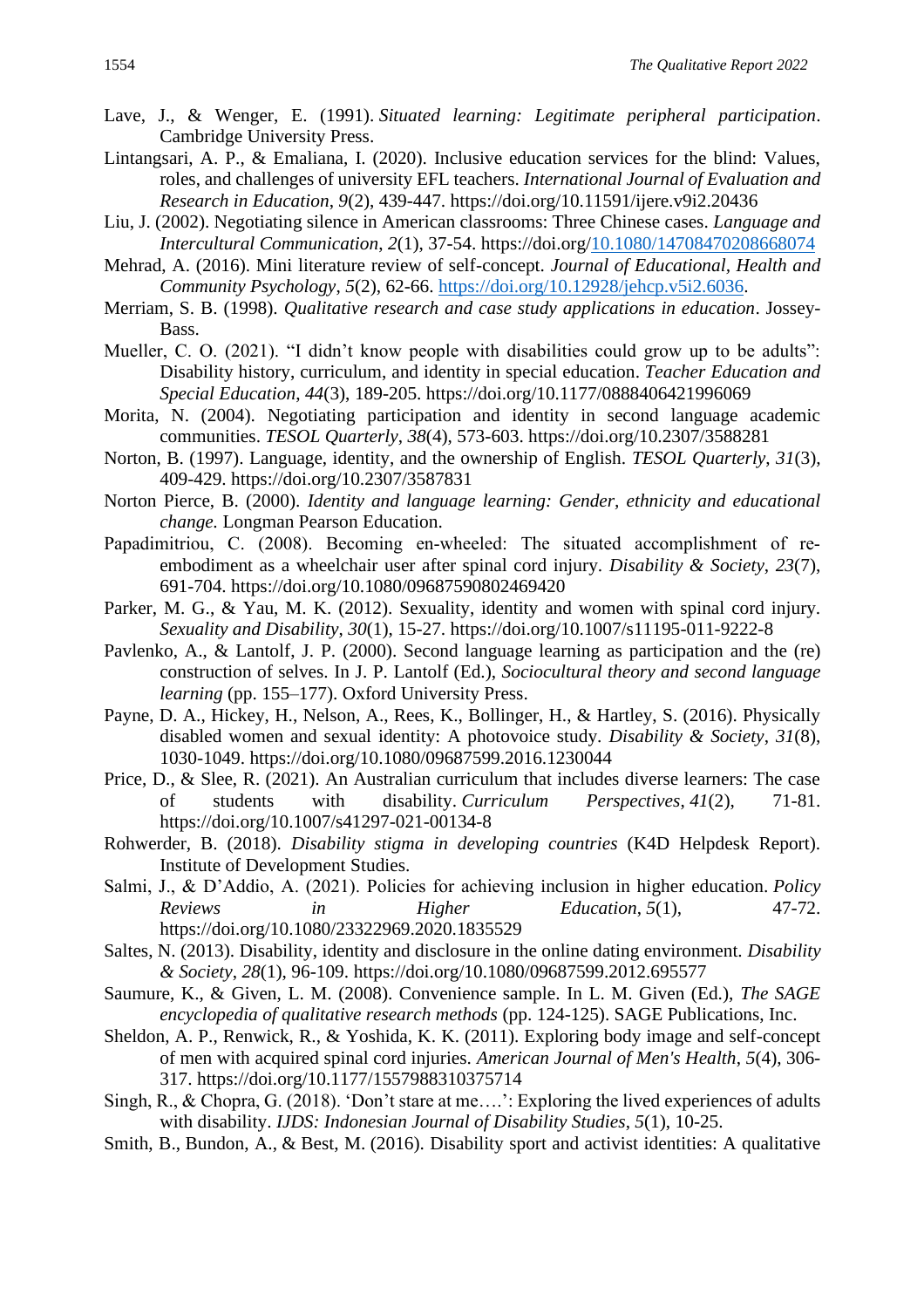- Lave, J., & Wenger, E. (1991). *Situated learning: Legitimate peripheral participation*. Cambridge University Press.
- Lintangsari, A. P., & Emaliana, I. (2020). Inclusive education services for the blind: Values, roles, and challenges of university EFL teachers. *International Journal of Evaluation and Research in Education*, *9*(2), 439-447. https://doi.org/10.11591/ijere.v9i2.20436
- Liu, J. (2002). Negotiating silence in American classrooms: Three Chinese cases. *Language and Intercultural Communication*, *2*(1), 37-54. https://doi.org[/10.1080/14708470208668074](https://doi.org/10.1080/14708470208668074)
- Mehrad, A. (2016). Mini literature review of self-concept. *Journal of Educational, Health and Community Psychology*, *5*(2), 62-66. [https://doi.org/10.12928/jehcp.v5i2.6036.](https://doi.org/10.12928/jehcp.v5i2.6036)
- Merriam, S. B. (1998). *Qualitative research and case study applications in education*. Jossey-Bass.
- Mueller, C. O. (2021). "I didn't know people with disabilities could grow up to be adults": Disability history, curriculum, and identity in special education. *Teacher Education and Special Education*, *44*(3), 189-205. https://doi.org/10.1177/0888406421996069
- Morita, N. (2004). Negotiating participation and identity in second language academic communities. *TESOL Quarterly*, *38*(4), 573-603. https://doi.org/10.2307/3588281
- Norton, B. (1997). Language, identity, and the ownership of English. *TESOL Quarterly*, *31*(3), 409-429. https://doi.org/10.2307/3587831
- Norton Pierce, B. (2000). *Identity and language learning: Gender, ethnicity and educational change.* Longman Pearson Education.
- Papadimitriou, C. (2008). Becoming en-wheeled: The situated accomplishment of reembodiment as a wheelchair user after spinal cord injury. *Disability & Society*, *23*(7), 691-704. https://doi.org/10.1080/09687590802469420
- Parker, M. G., & Yau, M. K. (2012). Sexuality, identity and women with spinal cord injury. *Sexuality and Disability*, *30*(1), 15-27. https://doi.org/10.1007/s11195-011-9222-8
- Pavlenko, A., & Lantolf, J. P. (2000). Second language learning as participation and the (re) construction of selves. In J. P. Lantolf (Ed.), *Sociocultural theory and second language learning* (pp. 155–177). Oxford University Press.
- Payne, D. A., Hickey, H., Nelson, A., Rees, K., Bollinger, H., & Hartley, S. (2016). Physically disabled women and sexual identity: A photovoice study. *Disability & Society*, *31*(8), 1030-1049. https://doi.org/10.1080/09687599.2016.1230044
- Price, D., & Slee, R. (2021). An Australian curriculum that includes diverse learners: The case of students with disability. *Curriculum Perspectives*, *41*(2), 71-81. https://doi.org/10.1007/s41297-021-00134-8
- Rohwerder, B. (2018). *Disability stigma in developing countries* (K4D Helpdesk Report). Institute of Development Studies.
- Salmi, J., & D'Addio, A. (2021). Policies for achieving inclusion in higher education. *Policy Reviews in Higher Education*, *5*(1), 47-72. https://doi.org/10.1080/23322969.2020.1835529
- Saltes, N. (2013). Disability, identity and disclosure in the online dating environment. *Disability & Society*, *28*(1), 96-109. https://doi.org/10.1080/09687599.2012.695577
- Saumure, K., & Given, L. M. (2008). Convenience sample. In L. M. Given (Ed.), *The SAGE encyclopedia of qualitative research methods* (pp. 124-125). SAGE Publications, Inc.
- Sheldon, A. P., Renwick, R., & Yoshida, K. K. (2011). Exploring body image and self-concept of men with acquired spinal cord injuries. *American Journal of Men's Health*, *5*(4), 306- 317. https://doi.org/10.1177/1557988310375714
- Singh, R., & Chopra, G. (2018). 'Don't stare at me….': Exploring the lived experiences of adults with disability. *IJDS: Indonesian Journal of Disability Studies*, *5*(1), 10-25.
- Smith, B., Bundon, A., & Best, M. (2016). Disability sport and activist identities: A qualitative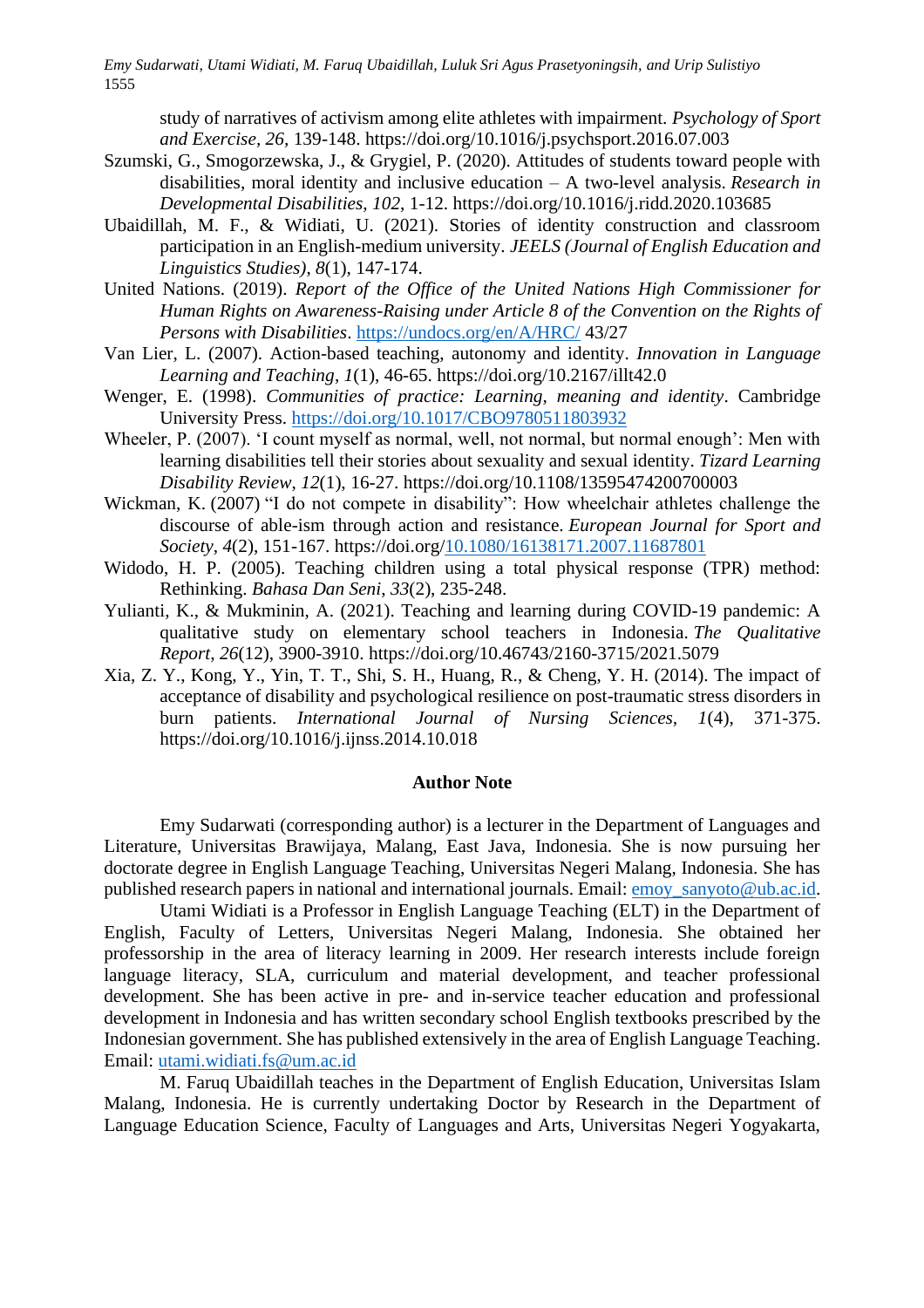study of narratives of activism among elite athletes with impairment. *Psychology of Sport and Exercise, 26,* 139-148. https://doi.org/10.1016/j.psychsport.2016.07.003

- Szumski, G., Smogorzewska, J., & Grygiel, P. (2020). Attitudes of students toward people with disabilities, moral identity and inclusive education – A two-level analysis. *Research in Developmental Disabilities*, *102*, 1-12. https://doi.org/10.1016/j.ridd.2020.103685
- Ubaidillah, M. F., & Widiati, U. (2021). Stories of identity construction and classroom participation in an English-medium university. *JEELS (Journal of English Education and Linguistics Studies)*, *8*(1), 147-174.
- United Nations. (2019). *Report of the Office of the United Nations High Commissioner for Human Rights on Awareness-Raising under Article 8 of the Convention on the Rights of Persons with Disabilities*.<https://undocs.org/en/A/HRC/> 43/27
- Van Lier, L. (2007). Action-based teaching, autonomy and identity. *Innovation in Language Learning and Teaching*, *1*(1), 46-65. https://doi.org/10.2167/illt42.0
- Wenger, E. (1998). *Communities of practice: Learning, meaning and identity*. Cambridge University Press.<https://doi.org/10.1017/CBO9780511803932>
- Wheeler, P. (2007). 'I count myself as normal, well, not normal, but normal enough': Men with learning disabilities tell their stories about sexuality and sexual identity. *Tizard Learning Disability Review*, *12*(1), 16-27. https://doi.org/10.1108/13595474200700003
- Wickman, K. (2007) "I do not compete in disability": How wheelchair athletes challenge the discourse of able-ism through action and resistance. *European Journal for Sport and Society, 4*(2), 151-167. https://doi.org[/10.1080/16138171.2007.11687801](https://doi.org/10.1080/16138171.2007.11687801)
- Widodo, H. P. (2005). Teaching children using a total physical response (TPR) method: Rethinking. *Bahasa Dan Seni*, *33*(2), 235-248.
- Yulianti, K., & Mukminin, A. (2021). Teaching and learning during COVID-19 pandemic: A qualitative study on elementary school teachers in Indonesia. *The Qualitative Report*, *26*(12), 3900-3910. https://doi.org/10.46743/2160-3715/2021.5079
- Xia, Z. Y., Kong, Y., Yin, T. T., Shi, S. H., Huang, R., & Cheng, Y. H. (2014). The impact of acceptance of disability and psychological resilience on post-traumatic stress disorders in burn patients. *International Journal of Nursing Sciences, 1*(4), 371-375. https://doi.org/10.1016/j.ijnss.2014.10.018

#### **Author Note**

Emy Sudarwati (corresponding author) is a lecturer in the Department of Languages and Literature, Universitas Brawijaya, Malang, East Java, Indonesia. She is now pursuing her doctorate degree in English Language Teaching, Universitas Negeri Malang, Indonesia. She has published research papers in national and international journals. Email[: emoy\\_sanyoto@ub.ac.id.](mailto:emoy_sanyoto@ub.ac.id)

Utami Widiati is a Professor in English Language Teaching (ELT) in the Department of English, Faculty of Letters, Universitas Negeri Malang, Indonesia. She obtained her professorship in the area of literacy learning in 2009. Her research interests include foreign language literacy, SLA, curriculum and material development, and teacher professional development. She has been active in pre- and in-service teacher education and professional development in Indonesia and has written secondary school English textbooks prescribed by the Indonesian government. She has published extensively in the area of English Language Teaching. Email: [utami.widiati.fs@um.ac.id](mailto:utami.widiati.fs@um.ac.id)

M. Faruq Ubaidillah teaches in the Department of English Education, Universitas Islam Malang, Indonesia. He is currently undertaking Doctor by Research in the Department of Language Education Science, Faculty of Languages and Arts, Universitas Negeri Yogyakarta,